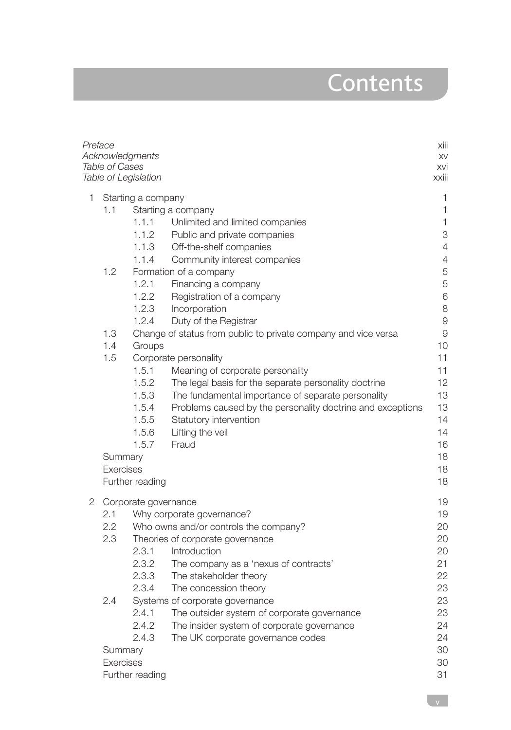# **Contents**

| Preface<br>Acknowledgments |                                                   |                        |                                                                                           |                |  |  |  |
|----------------------------|---------------------------------------------------|------------------------|-------------------------------------------------------------------------------------------|----------------|--|--|--|
|                            | Table of Cases<br>Table of Legislation<br>xxiii   |                        |                                                                                           |                |  |  |  |
| 1                          | Starting a company                                |                        |                                                                                           |                |  |  |  |
|                            | 1.1<br>Starting a company                         |                        |                                                                                           |                |  |  |  |
|                            |                                                   | 1.1.1                  | Unlimited and limited companies                                                           | 1              |  |  |  |
|                            |                                                   | 1.1.2                  | Public and private companies                                                              | 3              |  |  |  |
|                            |                                                   | 1.1.3                  | Off-the-shelf companies                                                                   | 4              |  |  |  |
|                            |                                                   | 1.1.4                  | Community interest companies                                                              | 4<br>5         |  |  |  |
|                            | 1.2                                               | Formation of a company |                                                                                           |                |  |  |  |
|                            |                                                   | 1.2.1                  | Financing a company                                                                       | 5              |  |  |  |
|                            |                                                   | 1.2.2                  | Registration of a company                                                                 | 6              |  |  |  |
|                            |                                                   | 1.2.3                  | Incorporation                                                                             | 8              |  |  |  |
|                            |                                                   | 1.2.4                  | Duty of the Registrar                                                                     | $\mathcal{G}$  |  |  |  |
|                            | 1.3                                               |                        | Change of status from public to private company and vice versa                            | $\overline{9}$ |  |  |  |
|                            | 1.4<br>1.5                                        | Groups                 |                                                                                           | 10             |  |  |  |
|                            |                                                   |                        | Corporate personality                                                                     | 11             |  |  |  |
|                            |                                                   | 1.5.1<br>1.5.2         | Meaning of corporate personality<br>The legal basis for the separate personality doctrine | 11<br>12       |  |  |  |
|                            |                                                   | 1.5.3                  | The fundamental importance of separate personality                                        | 13             |  |  |  |
|                            |                                                   | 1.5.4                  | Problems caused by the personality doctrine and exceptions                                | 13             |  |  |  |
|                            |                                                   | 1.5.5                  | Statutory intervention                                                                    | 14             |  |  |  |
|                            |                                                   | 1.5.6                  | Lifting the veil                                                                          | 14             |  |  |  |
|                            |                                                   | 1.5.7                  | Fraud                                                                                     | 16             |  |  |  |
|                            | Summary                                           |                        |                                                                                           |                |  |  |  |
|                            | <b>Exercises</b>                                  |                        |                                                                                           |                |  |  |  |
|                            |                                                   | Further reading        |                                                                                           |                |  |  |  |
|                            |                                                   |                        |                                                                                           | 18<br>19       |  |  |  |
| 2                          | Corporate governance<br>Why corporate governance? |                        |                                                                                           |                |  |  |  |
|                            | 2.1                                               |                        |                                                                                           | 19<br>20       |  |  |  |
|                            | 2.2<br>Who owns and/or controls the company?      |                        |                                                                                           |                |  |  |  |
|                            | 2.3                                               | 2.3.1                  | Theories of corporate governance<br>Introduction                                          | 20<br>20       |  |  |  |
|                            |                                                   | 2.3.2                  |                                                                                           | 21             |  |  |  |
|                            |                                                   | 2.3.3                  | The company as a 'nexus of contracts'<br>The stakeholder theory                           | 22             |  |  |  |
|                            |                                                   | 2.3.4                  | The concession theory                                                                     | 23             |  |  |  |
|                            | 2.4                                               |                        | Systems of corporate governance                                                           | 23             |  |  |  |
|                            |                                                   | 2.4.1                  | The outsider system of corporate governance                                               | 23             |  |  |  |
|                            |                                                   | 2.4.2                  | The insider system of corporate governance                                                | 24             |  |  |  |
|                            |                                                   | 2.4.3                  | The UK corporate governance codes                                                         | 24             |  |  |  |
|                            | Summary                                           |                        |                                                                                           | 30             |  |  |  |
|                            | Exercises                                         |                        |                                                                                           |                |  |  |  |
|                            |                                                   | Further reading        |                                                                                           | 30<br>31       |  |  |  |
|                            |                                                   |                        |                                                                                           |                |  |  |  |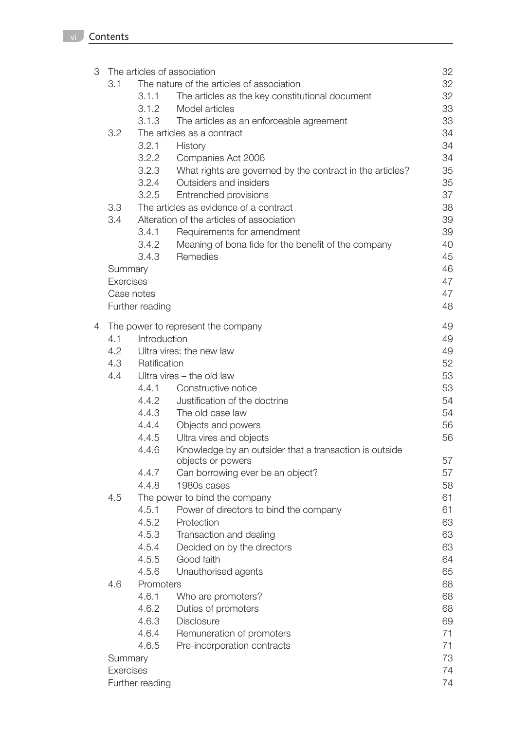| 3 | The articles of association                   |                                 |                                                                             |          |  |  |  |
|---|-----------------------------------------------|---------------------------------|-----------------------------------------------------------------------------|----------|--|--|--|
|   | 3.1                                           |                                 | The nature of the articles of association                                   | 32       |  |  |  |
|   |                                               | 3.1.1                           | The articles as the key constitutional document                             | 32       |  |  |  |
|   |                                               | 3.1.2                           | Model articles                                                              | 33       |  |  |  |
|   |                                               | 3.1.3                           | The articles as an enforceable agreement                                    | 33       |  |  |  |
|   | 3.2                                           |                                 | The articles as a contract                                                  | 34       |  |  |  |
|   |                                               | 3.2.1                           | History                                                                     | 34       |  |  |  |
|   |                                               | 3.2.2                           | Companies Act 2006                                                          | 34       |  |  |  |
|   |                                               | 3.2.3                           | What rights are governed by the contract in the articles?                   | 35       |  |  |  |
|   |                                               | 3.2.4                           | Outsiders and insiders                                                      | 35       |  |  |  |
|   |                                               | 3.2.5                           | Entrenched provisions                                                       | 37       |  |  |  |
|   | The articles as evidence of a contract<br>3.3 |                                 |                                                                             |          |  |  |  |
|   | 3.4                                           |                                 | Alteration of the articles of association                                   | 39       |  |  |  |
|   |                                               | 3.4.1                           | Requirements for amendment                                                  | 39       |  |  |  |
|   |                                               | 3.4.2                           | Meaning of bona fide for the benefit of the company                         | 40       |  |  |  |
|   |                                               | 3.4.3                           | Remedies                                                                    | 45       |  |  |  |
|   | Summary                                       |                                 |                                                                             | 46       |  |  |  |
|   | Exercises                                     |                                 |                                                                             | 47       |  |  |  |
|   |                                               | Case notes                      |                                                                             | 47       |  |  |  |
|   |                                               | Further reading                 |                                                                             | 48       |  |  |  |
| 4 |                                               |                                 | The power to represent the company                                          | 49       |  |  |  |
|   | 4.1                                           | Introduction                    |                                                                             | 49       |  |  |  |
|   |                                               | 4.2<br>Ultra vires: the new law |                                                                             |          |  |  |  |
|   | 4.3                                           | Ratification                    |                                                                             | 52       |  |  |  |
|   | 4.4                                           | Ultra vires – the old law       |                                                                             |          |  |  |  |
|   |                                               | 4.4.1                           | Constructive notice                                                         | 53       |  |  |  |
|   |                                               | 4.4.2                           | Justification of the doctrine                                               | 54       |  |  |  |
|   |                                               | 4.4.3                           | The old case law                                                            | 54       |  |  |  |
|   |                                               | 4.4.4                           | Objects and powers                                                          | 56       |  |  |  |
|   |                                               | 4.4.5                           | Ultra vires and objects                                                     | 56       |  |  |  |
|   |                                               | 4.4.6                           | Knowledge by an outsider that a transaction is outside<br>objects or powers | 57       |  |  |  |
|   |                                               | 4.4.7                           | Can borrowing ever be an object?                                            | 57       |  |  |  |
|   |                                               | 4.4.8                           | 1980s cases                                                                 | 58       |  |  |  |
|   | 4.5                                           |                                 | The power to bind the company                                               | 61       |  |  |  |
|   |                                               | 4.5.1                           | Power of directors to bind the company                                      | 61       |  |  |  |
|   |                                               | 4.5.2                           | Protection                                                                  | 63       |  |  |  |
|   |                                               | 4.5.3                           | Transaction and dealing                                                     | 63       |  |  |  |
|   |                                               | 4.5.4                           | Decided on by the directors                                                 | 63       |  |  |  |
|   |                                               | 4.5.5                           | Good faith                                                                  | 64       |  |  |  |
|   |                                               | 4.5.6                           | Unauthorised agents                                                         | 65       |  |  |  |
|   | 4.6                                           | Promoters                       |                                                                             | 68       |  |  |  |
|   |                                               | 4.6.1                           | Who are promoters?                                                          | 68       |  |  |  |
|   |                                               | 4.6.2                           | Duties of promoters                                                         | 68       |  |  |  |
|   |                                               | 4.6.3                           | Disclosure                                                                  | 69       |  |  |  |
|   |                                               | 4.6.4                           | Remuneration of promoters                                                   | 71       |  |  |  |
|   |                                               | 4.6.5                           | Pre-incorporation contracts                                                 | 71       |  |  |  |
|   | Summary                                       |                                 |                                                                             | 73       |  |  |  |
|   | Exercises                                     |                                 |                                                                             | 74<br>74 |  |  |  |
|   | Further reading                               |                                 |                                                                             |          |  |  |  |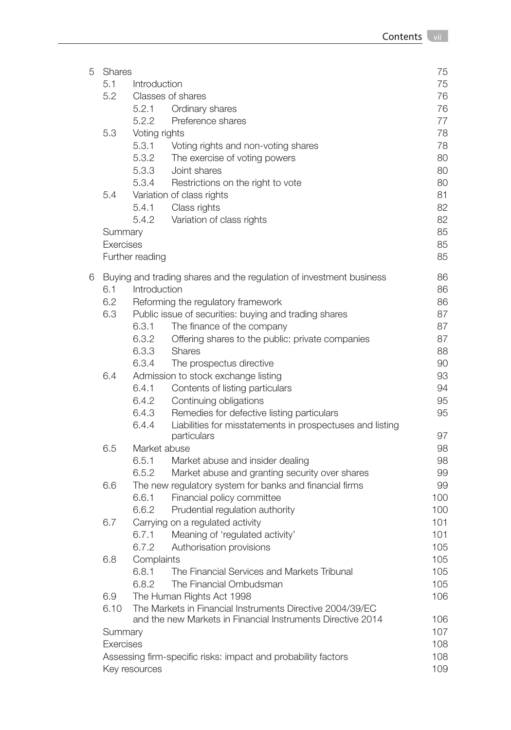| 5 | <b>Shares</b> |                                                                     |            |  |  |  |
|---|---------------|---------------------------------------------------------------------|------------|--|--|--|
|   | 5.1           | Introduction                                                        |            |  |  |  |
|   | 5.2           | Classes of shares                                                   | 76         |  |  |  |
|   |               | 5.2.1<br>Ordinary shares                                            | 76         |  |  |  |
|   |               | 5.2.2<br>Preference shares                                          | 77         |  |  |  |
|   | 5.3           | Voting rights                                                       | 78         |  |  |  |
|   |               | 5.3.1<br>Voting rights and non-voting shares                        | 78         |  |  |  |
|   |               | 5.3.2<br>The exercise of voting powers                              | 80         |  |  |  |
|   |               | 5.3.3<br>Joint shares                                               | 80         |  |  |  |
|   |               | 5.3.4<br>Restrictions on the right to vote                          | 80         |  |  |  |
|   | 5.4           | Variation of class rights                                           | 81         |  |  |  |
|   |               | 5.4.1<br>Class rights                                               | 82         |  |  |  |
|   |               | 5.4.2<br>Variation of class rights                                  | 82         |  |  |  |
|   | Summary       |                                                                     | 85         |  |  |  |
|   | Exercises     |                                                                     | 85         |  |  |  |
|   |               | Further reading                                                     | 85         |  |  |  |
| 6 |               | Buying and trading shares and the regulation of investment business | 86         |  |  |  |
|   | 6.1           | Introduction                                                        | 86         |  |  |  |
|   | 6.2           | Reforming the regulatory framework                                  | 86         |  |  |  |
|   | 6.3           | Public issue of securities: buying and trading shares               | 87         |  |  |  |
|   |               | 6.3.1<br>The finance of the company                                 | 87         |  |  |  |
|   |               | 6.3.2<br>Offering shares to the public: private companies           | 87         |  |  |  |
|   |               | 6.3.3<br><b>Shares</b>                                              | 88         |  |  |  |
|   |               | 6.3.4<br>The prospectus directive                                   | 90         |  |  |  |
|   | 6.4           | Admission to stock exchange listing                                 | 93         |  |  |  |
|   |               | 6.4.1<br>Contents of listing particulars                            | 94         |  |  |  |
|   |               | 6.4.2<br>Continuing obligations                                     | 95         |  |  |  |
|   |               | 6.4.3<br>Remedies for defective listing particulars                 | 95         |  |  |  |
|   |               | 6.4.4<br>Liabilities for misstatements in prospectuses and listing  |            |  |  |  |
|   |               | particulars                                                         | 97         |  |  |  |
|   | 6.5           | Market abuse                                                        | 98         |  |  |  |
|   |               | 6.5.1<br>Market abuse and insider dealing                           | 98         |  |  |  |
|   |               | 6.5.2<br>Market abuse and granting security over shares             | 99         |  |  |  |
|   | 6.6           | The new regulatory system for banks and financial firms             | 99         |  |  |  |
|   |               | 6.6.1<br>Financial policy committee                                 | 100        |  |  |  |
|   |               | 6.6.2<br>Prudential regulation authority                            | 100        |  |  |  |
|   | 6.7           | Carrying on a regulated activity                                    | 101        |  |  |  |
|   |               | 6.7.1<br>Meaning of 'regulated activity'                            | 101        |  |  |  |
|   |               | 6.7.2<br>Authorisation provisions                                   | 105        |  |  |  |
|   | 6.8           | Complaints                                                          | 105        |  |  |  |
|   |               | 6.8.1<br>The Financial Services and Markets Tribunal                | 105        |  |  |  |
|   |               | 6.8.2<br>The Financial Ombudsman                                    | 105<br>106 |  |  |  |
|   | 6.9           | The Human Rights Act 1998                                           |            |  |  |  |
|   | 6.10          | The Markets in Financial Instruments Directive 2004/39/EC           |            |  |  |  |
|   |               | and the new Markets in Financial Instruments Directive 2014         | 106        |  |  |  |
|   | Summary       |                                                                     | 107        |  |  |  |
|   | Exercises     |                                                                     | 108        |  |  |  |
|   |               | Assessing firm-specific risks: impact and probability factors       | 108        |  |  |  |
|   |               | Key resources                                                       | 109        |  |  |  |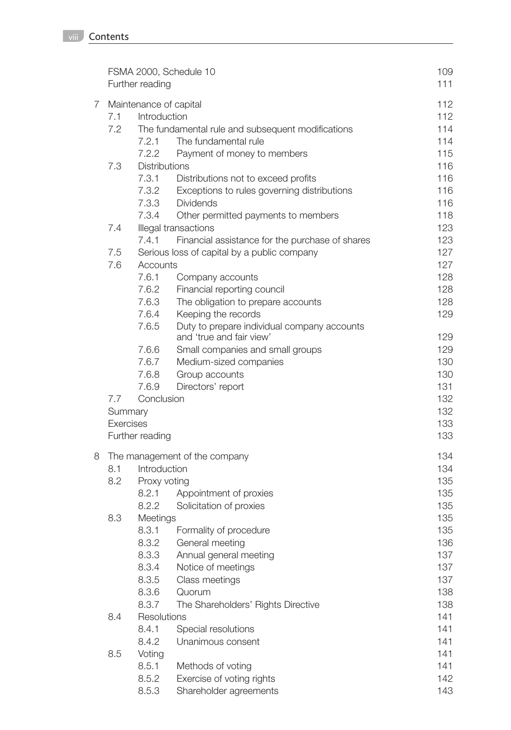|   |                                    | FSMA 2000, Schedule 10<br>Further reading                                                                                            |                                                                                                                                                                              |                                                             |  |  |
|---|------------------------------------|--------------------------------------------------------------------------------------------------------------------------------------|------------------------------------------------------------------------------------------------------------------------------------------------------------------------------|-------------------------------------------------------------|--|--|
| 7 | 7.1<br>7.2                         | Maintenance of capital<br>Introduction<br>7.2.1<br>7.2.2                                                                             | The fundamental rule and subsequent modifications<br>The fundamental rule<br>Payment of money to members                                                                     | 112<br>112<br>114<br>114<br>115                             |  |  |
|   | 7.3                                | Distributions<br>7.3.1<br>7.3.2<br>7.3.3<br>7.3.4                                                                                    | Distributions not to exceed profits<br>Exceptions to rules governing distributions<br>Dividends<br>Other permitted payments to members                                       | 116<br>116<br>116<br>116<br>118                             |  |  |
|   | 7.4                                | Illegal transactions<br>7.4.1<br>Financial assistance for the purchase of shares                                                     |                                                                                                                                                                              |                                                             |  |  |
|   | 7.5<br>7.6                         | Accounts<br>7.6.1<br>7.6.2<br>7.6.3<br>7.6.4                                                                                         | Serious loss of capital by a public company<br>Company accounts<br>Financial reporting council<br>The obligation to prepare accounts<br>Keeping the records                  | 127<br>127<br>128<br>128<br>128<br>129                      |  |  |
|   | 7.7<br>Summary<br><b>Exercises</b> | 7.6.5<br>7.6.6<br>7.6.7<br>7.6.8<br>7.6.9<br>Conclusion<br>Further reading                                                           | Duty to prepare individual company accounts<br>and 'true and fair view'<br>Small companies and small groups<br>Medium-sized companies<br>Group accounts<br>Directors' report | 129<br>129<br>130<br>130<br>131<br>132<br>132<br>133<br>133 |  |  |
| 8 | 8.1<br>8.2                         | The management of the company<br>Introduction<br>Proxy voting<br>8.2.1<br>Appointment of proxies<br>8.2.2<br>Solicitation of proxies |                                                                                                                                                                              |                                                             |  |  |
|   | 8.3                                | Meetings<br>8.3.1<br>8.3.2<br>8.3.3<br>8.3.4<br>8.3.5<br>8.3.6<br>8.3.7                                                              | Formality of procedure<br>General meeting<br>Annual general meeting<br>Notice of meetings<br>Class meetings<br>Quorum<br>The Shareholders' Rights Directive                  | 135<br>135<br>135<br>136<br>137<br>137<br>137<br>138<br>138 |  |  |
|   | 8.4                                | Resolutions<br>8.4.1<br>8.4.2                                                                                                        | Special resolutions<br>Unanimous consent                                                                                                                                     | 141<br>141<br>141                                           |  |  |
|   | 8.5                                | Voting<br>8.5.1<br>8.5.2<br>8.5.3                                                                                                    | Methods of voting<br>Exercise of voting rights<br>Shareholder agreements                                                                                                     | 141<br>141<br>142<br>143                                    |  |  |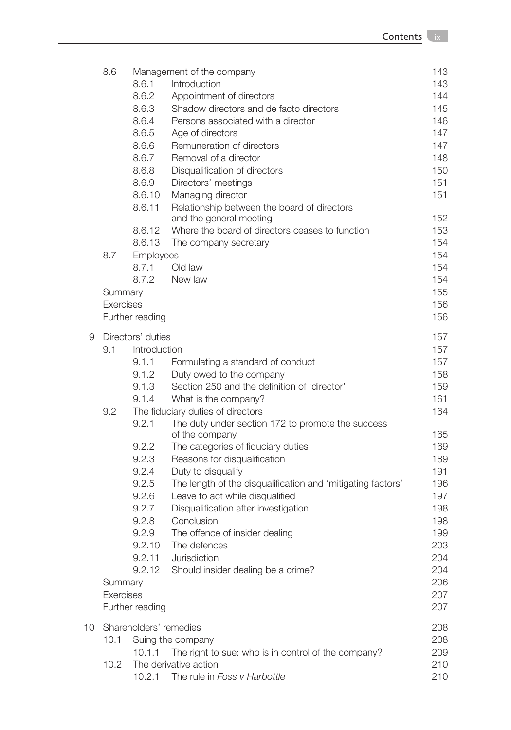|    | 8.6                    | Management of the company |                                                                     |            |  |  |
|----|------------------------|---------------------------|---------------------------------------------------------------------|------------|--|--|
|    |                        | 8.6.1                     | Introduction                                                        | 143        |  |  |
|    |                        | 8.6.2                     | Appointment of directors                                            | 144        |  |  |
|    |                        | 8.6.3                     | Shadow directors and de facto directors                             | 145        |  |  |
|    |                        | 8.6.4                     | Persons associated with a director                                  | 146        |  |  |
|    |                        | 8.6.5                     | Age of directors                                                    | 147        |  |  |
|    |                        | 8.6.6                     | Remuneration of directors                                           | 147        |  |  |
|    |                        | 8.6.7                     | Removal of a director                                               | 148        |  |  |
|    |                        | 8.6.8                     | Disqualification of directors                                       | 150        |  |  |
|    |                        | 8.6.9                     | Directors' meetings                                                 | 151        |  |  |
|    |                        | 8.6.10                    | Managing director                                                   | 151        |  |  |
|    |                        | 8.6.11                    | Relationship between the board of directors                         |            |  |  |
|    |                        |                           | and the general meeting                                             | 152        |  |  |
|    |                        | 8.6.12                    | Where the board of directors ceases to function                     | 153        |  |  |
|    |                        | 8.6.13                    | The company secretary                                               | 154        |  |  |
|    | 8.7                    | Employees                 |                                                                     | 154        |  |  |
|    |                        | 8.7.1                     | Old law                                                             | 154        |  |  |
|    |                        | 8.7.2                     | New law                                                             | 154        |  |  |
|    | Summary                |                           |                                                                     | 155        |  |  |
|    |                        | Exercises                 |                                                                     |            |  |  |
|    |                        | Further reading           |                                                                     | 156<br>156 |  |  |
|    |                        |                           |                                                                     | 157        |  |  |
| 9  | Directors' duties      |                           |                                                                     |            |  |  |
|    | 9.1                    | Introduction              |                                                                     | 157        |  |  |
|    |                        | 9.1.1                     | Formulating a standard of conduct                                   | 157        |  |  |
|    |                        | 9.1.2                     | Duty owed to the company                                            | 158        |  |  |
|    |                        | 9.1.3                     | Section 250 and the definition of 'director'                        | 159        |  |  |
|    |                        | 9.1.4                     | What is the company?                                                | 161        |  |  |
|    | 9.2                    |                           | The fiduciary duties of directors                                   | 164        |  |  |
|    |                        | 9.2.1                     | The duty under section 172 to promote the success<br>of the company | 165        |  |  |
|    |                        | 9.2.2                     | The categories of fiduciary duties                                  | 169        |  |  |
|    |                        | 9.2.3                     | Reasons for disqualification                                        | 189        |  |  |
|    |                        | 9.2.4                     | Duty to disqualify                                                  | 191        |  |  |
|    |                        | 9.2.5                     | The length of the disqualification and 'mitigating factors'         | 196        |  |  |
|    |                        | 9.2.6                     | Leave to act while disqualified                                     | 197        |  |  |
|    |                        | 9.2.7                     | Disqualification after investigation                                | 198        |  |  |
|    |                        | 9.2.8                     | Conclusion                                                          | 198        |  |  |
|    |                        | 9.2.9                     | The offence of insider dealing                                      | 199        |  |  |
|    |                        | 9.2.10                    | The defences                                                        | 203        |  |  |
|    |                        | 9.2.11                    | Jurisdiction                                                        | 204        |  |  |
|    |                        | 9.2.12                    | Should insider dealing be a crime?                                  | 204        |  |  |
|    | Summary                |                           |                                                                     |            |  |  |
|    | Exercises              |                           |                                                                     |            |  |  |
|    | Further reading        |                           |                                                                     |            |  |  |
|    |                        |                           |                                                                     | 207        |  |  |
| 10 | Shareholders' remedies |                           |                                                                     |            |  |  |
|    | 10.1                   |                           | Suing the company                                                   | 208        |  |  |
|    |                        | 10.1.1                    | The right to sue: who is in control of the company?                 | 209        |  |  |
|    | 10.2                   |                           | The derivative action                                               | 210        |  |  |
|    |                        | 10.2.1                    | The rule in Foss v Harbottle                                        | 210        |  |  |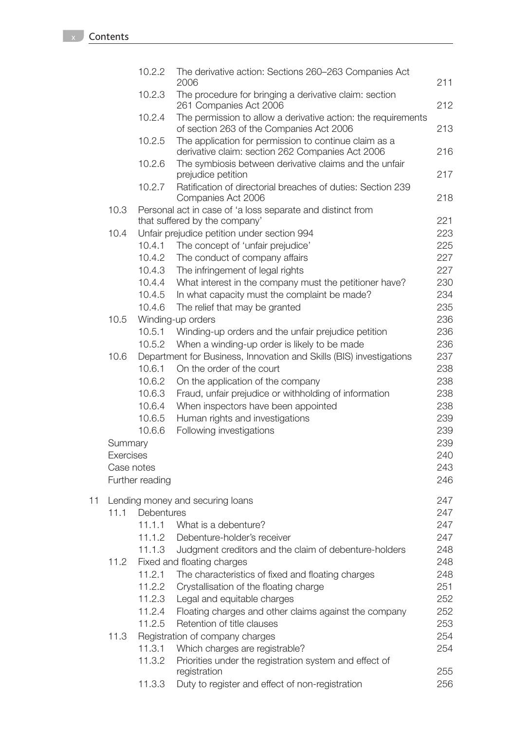|    |                                  | 10.2.2          | The derivative action: Sections 260–263 Companies Act<br>2006                                             | 211 |
|----|----------------------------------|-----------------|-----------------------------------------------------------------------------------------------------------|-----|
|    |                                  | 10.2.3          | The procedure for bringing a derivative claim: section<br>261 Companies Act 2006                          | 212 |
|    |                                  | 10.2.4          | The permission to allow a derivative action: the requirements<br>of section 263 of the Companies Act 2006 | 213 |
|    |                                  | 10.2.5          | The application for permission to continue claim as a<br>derivative claim: section 262 Companies Act 2006 | 216 |
|    |                                  | 10.2.6          | The symbiosis between derivative claims and the unfair<br>prejudice petition                              | 217 |
|    |                                  | 10.2.7          | Ratification of directorial breaches of duties: Section 239<br>Companies Act 2006                         | 218 |
|    | 10.3                             |                 | Personal act in case of 'a loss separate and distinct from<br>that suffered by the company'               | 221 |
|    | 10.4                             |                 | Unfair prejudice petition under section 994                                                               | 223 |
|    |                                  | 10.4.1          | The concept of 'unfair prejudice'                                                                         | 225 |
|    |                                  | 10.4.2          | The conduct of company affairs                                                                            | 227 |
|    |                                  | 10.4.3          | The infringement of legal rights                                                                          | 227 |
|    |                                  | 10.4.4          | What interest in the company must the petitioner have?                                                    | 230 |
|    |                                  | 10.4.5          | In what capacity must the complaint be made?                                                              | 234 |
|    |                                  | 10.4.6          | The relief that may be granted                                                                            | 235 |
|    | 10.5                             |                 | Winding-up orders                                                                                         | 236 |
|    |                                  | 10.5.1          | Winding-up orders and the unfair prejudice petition                                                       | 236 |
|    |                                  | 10.5.2          | When a winding-up order is likely to be made                                                              | 236 |
|    | 10.6                             |                 | Department for Business, Innovation and Skills (BIS) investigations                                       | 237 |
|    |                                  | 10.6.1          | On the order of the court                                                                                 | 238 |
|    |                                  | 10.6.2          | On the application of the company                                                                         | 238 |
|    |                                  | 10.6.3          | Fraud, unfair prejudice or withholding of information                                                     | 238 |
|    |                                  | 10.6.4          | When inspectors have been appointed                                                                       | 238 |
|    |                                  | 10.6.5          | Human rights and investigations                                                                           | 239 |
|    |                                  | 10.6.6          | Following investigations                                                                                  | 239 |
|    | Summary                          |                 |                                                                                                           | 239 |
|    | Exercises                        |                 |                                                                                                           |     |
|    | Case notes                       |                 |                                                                                                           |     |
|    |                                  | Further reading |                                                                                                           | 246 |
| 11 | Lending money and securing loans |                 |                                                                                                           |     |
|    | 11.1                             | Debentures      |                                                                                                           | 247 |
|    |                                  | 11.1.1          | What is a debenture?                                                                                      | 247 |
|    |                                  | 11.1.2          | Debenture-holder's receiver                                                                               | 247 |
|    |                                  |                 | 11.1.3 Judgment creditors and the claim of debenture-holders                                              | 248 |
|    | 11.2                             |                 | Fixed and floating charges                                                                                | 248 |
|    |                                  | 11.2.1          | The characteristics of fixed and floating charges                                                         | 248 |
|    |                                  | 11.2.2          | Crystallisation of the floating charge                                                                    | 251 |
|    |                                  | 11.2.3          | Legal and equitable charges                                                                               | 252 |
|    |                                  | 11.2.4          | Floating charges and other claims against the company                                                     | 252 |
|    |                                  | 11.2.5          | Retention of title clauses                                                                                | 253 |
|    | 11.3                             |                 | Registration of company charges                                                                           | 254 |
|    |                                  | 11.3.1          | Which charges are registrable?                                                                            | 254 |
|    |                                  | 11.3.2          | Priorities under the registration system and effect of<br>registration                                    | 255 |
|    |                                  | 11.3.3          | Duty to register and effect of non-registration                                                           | 256 |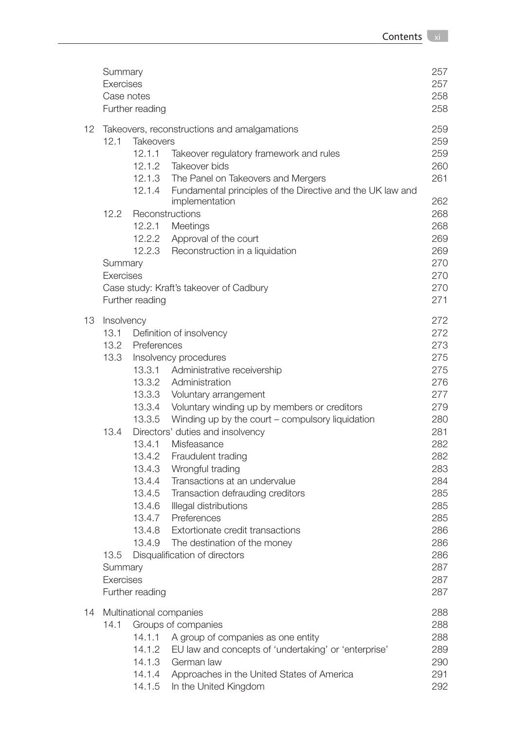|    | Summary<br>Exercises<br>Case notes         | Further reading                                                                                 |                                                                                                                                                                                                                                                                                                 | 257<br>257<br>258<br>258                                                                |
|----|--------------------------------------------|-------------------------------------------------------------------------------------------------|-------------------------------------------------------------------------------------------------------------------------------------------------------------------------------------------------------------------------------------------------------------------------------------------------|-----------------------------------------------------------------------------------------|
| 12 | 12.1                                       | <b>Takeovers</b><br>12.1.1<br>12.1.2<br>12.1.3<br>12.1.4                                        | Takeovers, reconstructions and amalgamations<br>Takeover regulatory framework and rules<br>Takeover bids<br>The Panel on Takeovers and Mergers<br>Fundamental principles of the Directive and the UK law and<br>implementation                                                                  | 259<br>259<br>259<br>260<br>261<br>262                                                  |
|    | 12.2<br>Summary<br>Exercises               | 12.2.1<br>12.2.3<br>Further reading                                                             | Reconstructions<br>Meetings<br>12.2.2 Approval of the court<br>Reconstruction in a liquidation<br>Case study: Kraft's takeover of Cadbury                                                                                                                                                       | 268<br>268<br>269<br>269<br>270<br>270<br>270<br>271                                    |
| 13 | Insolvency<br>13.1<br>13.2<br>13.3<br>13.4 | Preferences<br>13.3.5                                                                           | Definition of insolvency<br>Insolvency procedures<br>13.3.1 Administrative receivership<br>13.3.2 Administration<br>13.3.3 Voluntary arrangement<br>13.3.4 Voluntary winding up by members or creditors<br>Winding up by the court - compulsory liquidation<br>Directors' duties and insolvency | 272<br>272<br>273<br>275<br>275<br>276<br>277<br>279<br>280<br>281                      |
|    | 13.5<br>Summary<br>Exercises               | 13.4.1<br>13.4.3<br>13.4.4<br>13.4.5<br>13.4.6<br>13.4.7<br>13.4.8<br>13.4.9<br>Further reading | Misfeasance<br>13.4.2 Fraudulent trading<br>Wrongful trading<br>Transactions at an undervalue<br>Transaction defrauding creditors<br>Illegal distributions<br>Preferences<br>Extortionate credit transactions<br>The destination of the money<br>Disqualification of directors                  | 282<br>282<br>283<br>284<br>285<br>285<br>285<br>286<br>286<br>286<br>287<br>287<br>287 |
| 14 | 14.1                                       | 14.1.1<br>14.1.2<br>14.1.3<br>14.1.4<br>14.1.5                                                  | Multinational companies<br>Groups of companies<br>A group of companies as one entity<br>EU law and concepts of 'undertaking' or 'enterprise'<br>German law<br>Approaches in the United States of America<br>In the United Kingdom                                                               | 288<br>288<br>288<br>289<br>290<br>291<br>292                                           |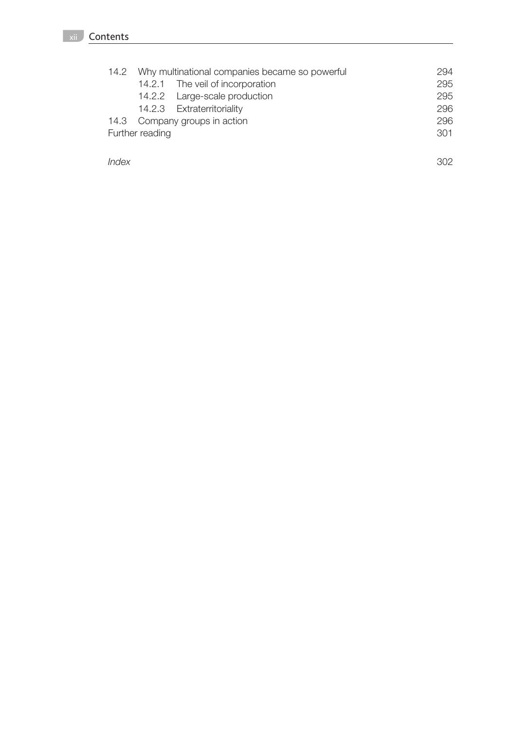|                 | 14.2 Why multinational companies became so powerful | 294 |
|-----------------|-----------------------------------------------------|-----|
|                 | 14.2.1 The veil of incorporation                    | 295 |
|                 | 14.2.2 Large-scale production                       | 295 |
|                 | 14.2.3 Extraterritoriality                          | 296 |
|                 | 14.3 Company groups in action                       | 296 |
| Further reading | 301                                                 |     |
|                 |                                                     |     |

*Index* 302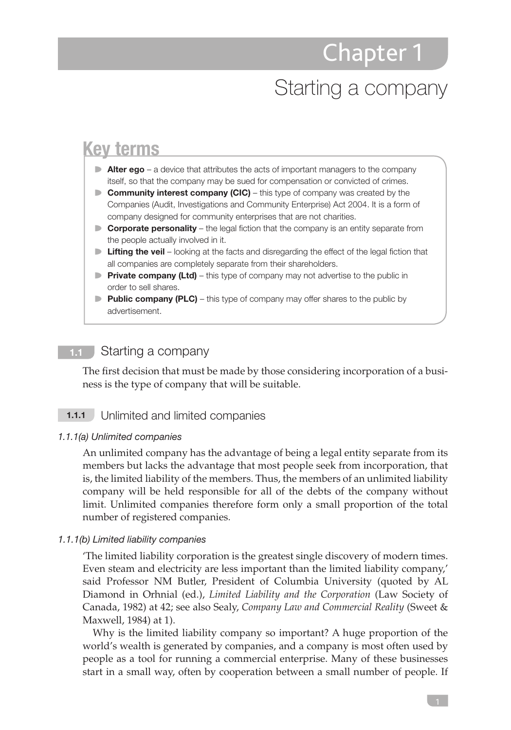# Chapter 1

# Starting a company

## Key terms

- $\triangleright$  Alter ego a device that attributes the acts of important managers to the company itself, so that the company may be sued for compensation or convicted of crimes.
- **Community interest company (CIC)** this type of company was created by the Companies (Audit, Investigations and Community Enterprise) Act 2004. It is a form of company designed for community enterprises that are not charities.
- $\triangleright$  Corporate personality the legal fiction that the company is an entity separate from the people actually involved in it.
- $\triangleright$  Lifting the veil looking at the facts and disregarding the effect of the legal fiction that all companies are completely separate from their shareholders.
- ▶ Private company (Ltd) this type of company may not advertise to the public in order to sell shares.
- $\triangleright$  Public company (PLC) this type of company may offer shares to the public by advertisement.

#### Starting a company 1.1

The first decision that must be made by those considering incorporation of a business is the type of company that will be suitable.

#### Unlimited and limited companies 1.1.1

## *1.1.1(a) Unlimited companies*

An unlimited company has the advantage of being a legal entity separate from its members but lacks the advantage that most people seek from incorporation, that is, the limited liability of the members. Thus, the members of an unlimited liability company will be held responsible for all of the debts of the company without limit. Unlimited companies therefore form only a small proportion of the total number of registered companies.

## *1.1.1(b) Limited liability companies*

'The limited liability corporation is the greatest single discovery of modern times. Even steam and electricity are less important than the limited liability company,' said Professor NM Butler, President of Columbia University (quoted by AL Diamond in Orhnial (ed.), *Limited Liability and the Corporation* (Law Society of Canada, 1982) at 42; see also Sealy, *Company Law and Commercial Reality* (Sweet & Maxwell, 1984) at 1).

Why is the limited liability company so important? A huge proportion of the world's wealth is generated by companies, and a company is most often used by people as a tool for running a commercial enterprise. Many of these businesses start in a small way, often by cooperation between a small number of people. If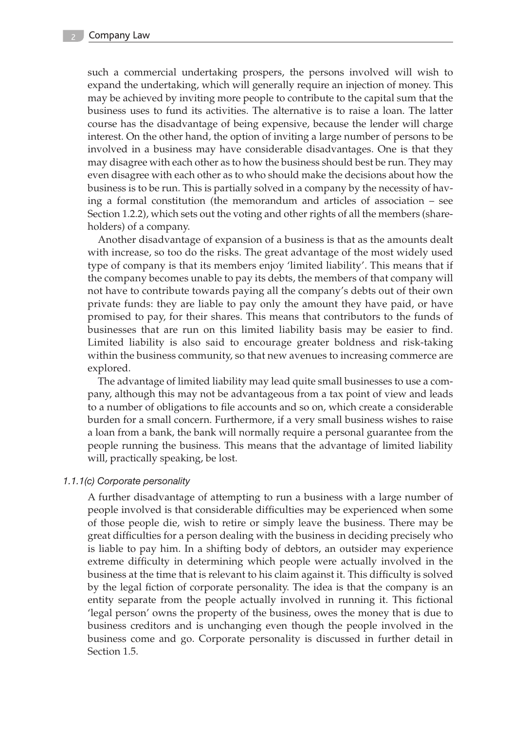such a commercial undertaking prospers, the persons involved will wish to expand the undertaking, which will generally require an injection of money. This may be achieved by inviting more people to contribute to the capital sum that the business uses to fund its activities. The alternative is to raise a loan. The latter course has the disadvantage of being expensive, because the lender will charge interest. On the other hand, the option of inviting a large number of persons to be involved in a business may have considerable disadvantages. One is that they may disagree with each other as to how the business should best be run. They may even disagree with each other as to who should make the decisions about how the business is to be run. This is partially solved in a company by the necessity of having a formal constitution (the memorandum and articles of association – see Section 1.2.2), which sets out the voting and other rights of all the members (shareholders) of a company.

Another disadvantage of expansion of a business is that as the amounts dealt with increase, so too do the risks. The great advantage of the most widely used type of company is that its members enjoy 'limited liability'. This means that if the company becomes unable to pay its debts, the members of that company will not have to contribute towards paying all the company's debts out of their own private funds: they are liable to pay only the amount they have paid, or have promised to pay, for their shares. This means that contributors to the funds of businesses that are run on this limited liability basis may be easier to find. Limited liability is also said to encourage greater boldness and risk-taking within the business community, so that new avenues to increasing commerce are explored.

The advantage of limited liability may lead quite small businesses to use a company, although this may not be advantageous from a tax point of view and leads to a number of obligations to file accounts and so on, which create a considerable burden for a small concern. Furthermore, if a very small business wishes to raise a loan from a bank, the bank will normally require a personal guarantee from the people running the business. This means that the advantage of limited liability will, practically speaking, be lost.

### *1.1.1(c) Corporate personality*

A further disadvantage of attempting to run a business with a large number of people involved is that considerable difficulties may be experienced when some of those people die, wish to retire or simply leave the business. There may be great difficulties for a person dealing with the business in deciding precisely who is liable to pay him. In a shifting body of debtors, an outsider may experience extreme difficulty in determining which people were actually involved in the business at the time that is relevant to his claim against it. This difficulty is solved by the legal fiction of corporate personality. The idea is that the company is an entity separate from the people actually involved in running it. This fictional 'legal person' owns the property of the business, owes the money that is due to business creditors and is unchanging even though the people involved in the business come and go. Corporate personality is discussed in further detail in Section 1.5.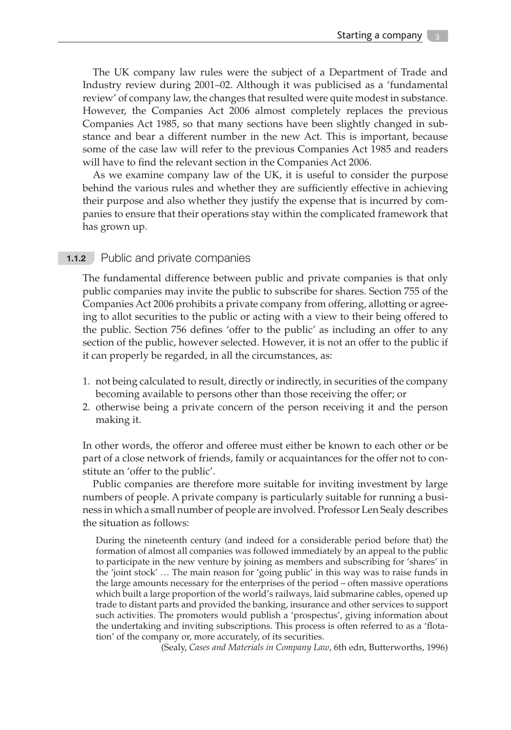The UK company law rules were the subject of a Department of Trade and Industry review during 2001–02. Although it was publicised as a 'fundamental review' of company law, the changes that resulted were quite modest in substance. However, the Companies Act 2006 almost completely replaces the previous Companies Act 1985, so that many sections have been slightly changed in substance and bear a different number in the new Act. This is important, because some of the case law will refer to the previous Companies Act 1985 and readers will have to find the relevant section in the Companies Act 2006.

As we examine company law of the UK, it is useful to consider the purpose behind the various rules and whether they are sufficiently effective in achieving their purpose and also whether they justify the expense that is incurred by companies to ensure that their operations stay within the complicated framework that has grown up.

## 1.1.2 Public and private companies

The fundamental difference between public and private companies is that only public companies may invite the public to subscribe for shares. Section 755 of the Companies Act 2006 prohibits a private company from offering, allotting or agreeing to allot securities to the public or acting with a view to their being offered to the public. Section 756 defines 'offer to the public' as including an offer to any section of the public, however selected. However, it is not an offer to the public if it can properly be regarded, in all the circumstances, as:

- 1. not being calculated to result, directly or indirectly, in securities of the company becoming available to persons other than those receiving the offer; or
- 2. otherwise being a private concern of the person receiving it and the person making it.

In other words, the offeror and offeree must either be known to each other or be part of a close network of friends, family or acquaintances for the offer not to constitute an 'offer to the public'.

Public companies are therefore more suitable for inviting investment by large numbers of people. A private company is particularly suitable for running a business in which a small number of people are involved. Professor Len Sealy describes the situation as follows:

During the nineteenth century (and indeed for a considerable period before that) the formation of almost all companies was followed immediately by an appeal to the public to participate in the new venture by joining as members and subscribing for 'shares' in the 'joint stock' … The main reason for 'going public' in this way was to raise funds in the large amounts necessary for the enterprises of the period – often massive operations which built a large proportion of the world's railways, laid submarine cables, opened up trade to distant parts and provided the banking, insurance and other services to support such activities. The promoters would publish a 'prospectus', giving information about the undertaking and inviting subscriptions. This process is often referred to as a 'flotation' of the company or, more accurately, of its securities.

(Sealy, *Cases and Materials in Company Law*, 6th edn, Butterworths, 1996)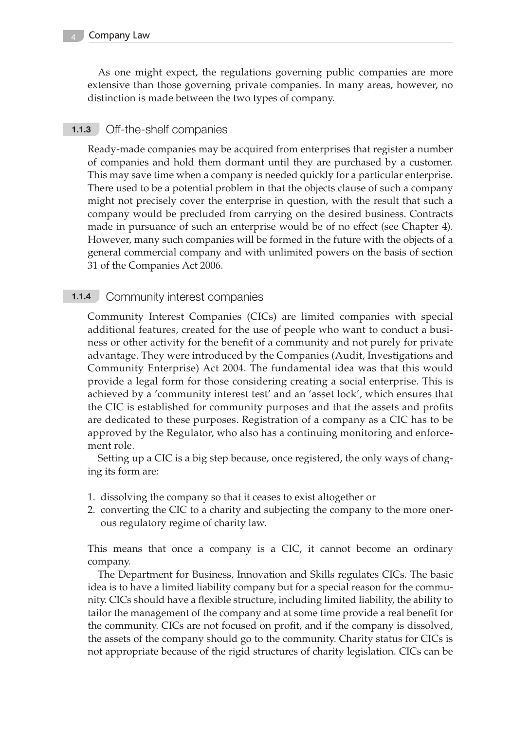As one might expect, the regulations governing public companies are more extensive than those governing private companies. In many areas, however, no distinction is made between the two types of company.

## Off-the-shelf companies 1.1.3

Ready-made companies may be acquired from enterprises that register a number of companies and hold them dormant until they are purchased by a customer. This may save time when a company is needed quickly for a particular enterprise. There used to be a potential problem in that the objects clause of such a company might not precisely cover the enterprise in question, with the result that such a company would be precluded from carrying on the desired business. Contracts made in pursuance of such an enterprise would be of no effect (see Chapter 4). However, many such companies will be formed in the future with the objects of a general commercial company and with unlimited powers on the basis of section 31 of the Companies Act 2006.

## 1.1.4 Community interest companies

Community Interest Companies (CICs) are limited companies with special additional features, created for the use of people who want to conduct a business or other activity for the benefit of a community and not purely for private advantage. They were introduced by the Companies (Audit, Investigations and Community Enterprise) Act 2004. The fundamental idea was that this would provide a legal form for those considering creating a social enterprise. This is achieved by a 'community interest test' and an 'asset lock', which ensures that the CIC is established for community purposes and that the assets and profits are dedicated to these purposes. Registration of a company as a CIC has to be approved by the Regulator, who also has a continuing monitoring and enforcement role.

Setting up a CIC is a big step because, once registered, the only ways of changing its form are:

- 1. dissolving the company so that it ceases to exist altogether or
- 2. converting the CIC to a charity and subjecting the company to the more onerous regulatory regime of charity law.

This means that once a company is a CIC, it cannot become an ordinary company.

The Department for Business, Innovation and Skills regulates CICs. The basic idea is to have a limited liability company but for a special reason for the community. CICs should have a flexible structure, including limited liability, the ability to tailor the management of the company and at some time provide a real benefit for the community. CICs are not focused on profit, and if the company is dissolved, the assets of the company should go to the community. Charity status for CICs is not appropriate because of the rigid structures of charity legislation. CICs can be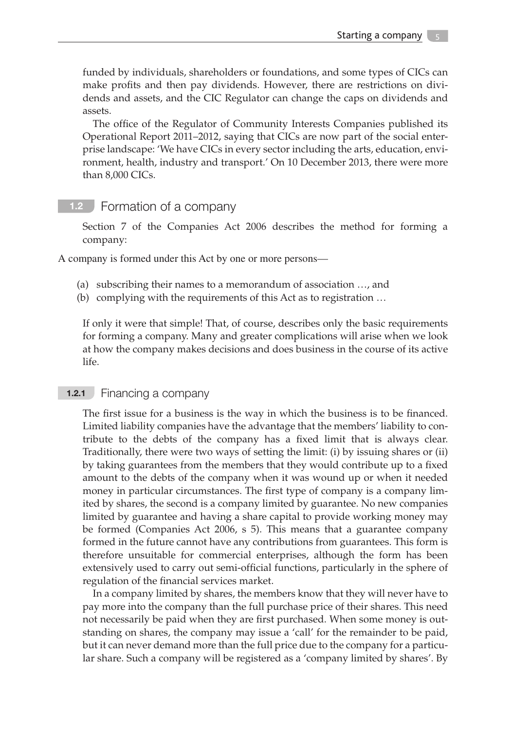funded by individuals, shareholders or foundations, and some types of CICs can make profits and then pay dividends. However, there are restrictions on dividends and assets, and the CIC Regulator can change the caps on dividends and assets.

The office of the Regulator of Community Interests Companies published its Operational Report 2011–2012, saying that CICs are now part of the social enterprise landscape: 'We have CICs in every sector including the arts, education, environment, health, industry and transport.' On 10 December 2013, there were more than 8,000 CICs.

## 1.2 Formation of a company

Section 7 of the Companies Act 2006 describes the method for forming a company:

A company is formed under this Act by one or more persons—

- (a) subscribing their names to a memorandum of association …, and
- (b) complying with the requirements of this Act as to registration …

If only it were that simple! That, of course, describes only the basic requirements for forming a company. Many and greater complications will arise when we look at how the company makes decisions and does business in the course of its active life.

## 1.2.1 Financing a company

The first issue for a business is the way in which the business is to be financed. Limited liability companies have the advantage that the members' liability to contribute to the debts of the company has a fixed limit that is always clear. Traditionally, there were two ways of setting the limit: (i) by issuing shares or (ii) by taking guarantees from the members that they would contribute up to a fixed amount to the debts of the company when it was wound up or when it needed money in particular circumstances. The first type of company is a company limited by shares, the second is a company limited by guarantee. No new companies limited by guarantee and having a share capital to provide working money may be formed (Companies Act 2006, s 5). This means that a guarantee company formed in the future cannot have any contributions from guarantees. This form is therefore unsuitable for commercial enterprises, although the form has been extensively used to carry out semi-official functions, particularly in the sphere of regulation of the financial services market.

In a company limited by shares, the members know that they will never have to pay more into the company than the full purchase price of their shares. This need not necessarily be paid when they are first purchased. When some money is outstanding on shares, the company may issue a 'call' for the remainder to be paid, but it can never demand more than the full price due to the company for a particular share. Such a company will be registered as a 'company limited by shares'. By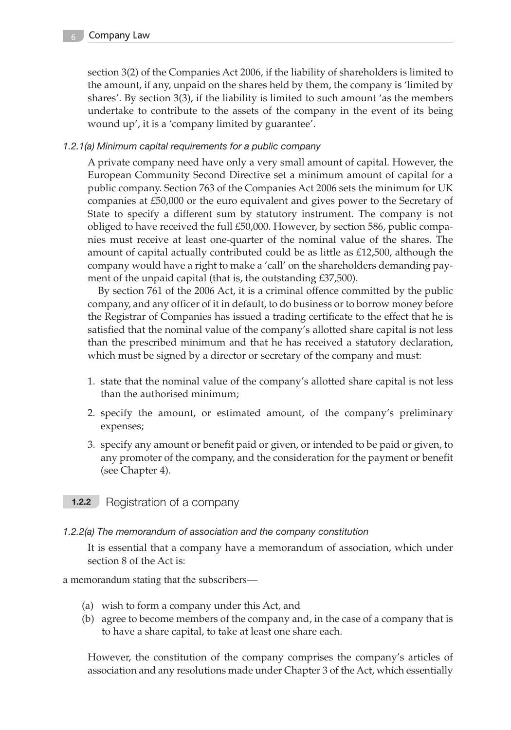section 3(2) of the Companies Act 2006, if the liability of shareholders is limited to the amount, if any, unpaid on the shares held by them, the company is 'limited by shares'. By section 3(3), if the liability is limited to such amount 'as the members undertake to contribute to the assets of the company in the event of its being wound up', it is a 'company limited by guarantee'.

## *1.2.1(a) Minimum capital requirements for a public company*

A private company need have only a very small amount of capital. However, the European Community Second Directive set a minimum amount of capital for a public company. Section 763 of the Companies Act 2006 sets the minimum for UK companies at £50,000 or the euro equivalent and gives power to the Secretary of State to specify a different sum by statutory instrument. The company is not obliged to have received the full £50,000. However, by section 586, public companies must receive at least one-quarter of the nominal value of the shares. The amount of capital actually contributed could be as little as £12,500, although the company would have a right to make a 'call' on the shareholders demanding payment of the unpaid capital (that is, the outstanding £37,500).

By section 761 of the 2006 Act, it is a criminal offence committed by the public company, and any officer of it in default, to do business or to borrow money before the Registrar of Companies has issued a trading certificate to the effect that he is satisfied that the nominal value of the company's allotted share capital is not less than the prescribed minimum and that he has received a statutory declaration, which must be signed by a director or secretary of the company and must:

- 1. state that the nominal value of the company's allotted share capital is not less than the authorised minimum;
- 2. specify the amount, or estimated amount, of the company's preliminary expenses;
- 3. specify any amount or benefit paid or given, or intended to be paid or given, to any promoter of the company, and the consideration for the payment or benefit (see Chapter 4).

Registration of a company 1.2.2

*1.2.2(a) The memorandum of association and the company constitution*

It is essential that a company have a memorandum of association, which under section 8 of the Act is:

a memorandum stating that the subscribers—

- (a) wish to form a company under this Act, and
- (b) agree to become members of the company and, in the case of a company that is to have a share capital, to take at least one share each.

However, the constitution of the company comprises the company's articles of association and any resolutions made under Chapter 3 of the Act, which essentially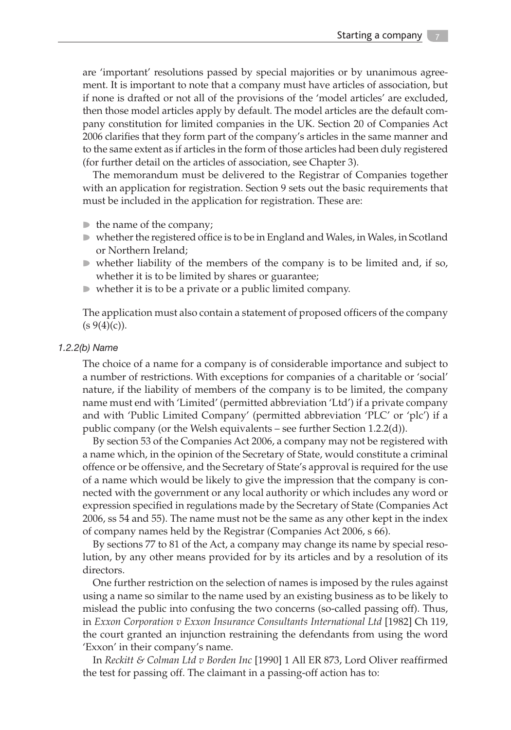are 'important' resolutions passed by special majorities or by unanimous agreement. It is important to note that a company must have articles of association, but if none is drafted or not all of the provisions of the 'model articles' are excluded, then those model articles apply by default. The model articles are the default company constitution for limited companies in the UK. Section 20 of Companies Act 2006 clarifies that they form part of the company's articles in the same manner and to the same extent as if articles in the form of those articles had been duly registered (for further detail on the articles of association, see Chapter 3).

The memorandum must be delivered to the Registrar of Companies together with an application for registration. Section 9 sets out the basic requirements that must be included in the application for registration. These are:

- the name of the company;
- whether the registered office is to be in England and Wales, in Wales, in Scotland or Northern Ireland;
- ◗ whether liability of the members of the company is to be limited and, if so, whether it is to be limited by shares or guarantee;
- whether it is to be a private or a public limited company.

The application must also contain a statement of proposed officers of the company  $(s 9(4)(c))$ .

### *1.2.2(b) Name*

The choice of a name for a company is of considerable importance and subject to a number of restrictions. With exceptions for companies of a charitable or 'social' nature, if the liability of members of the company is to be limited, the company name must end with 'Limited' (permitted abbreviation 'Ltd') if a private company and with 'Public Limited Company' (permitted abbreviation 'PLC' or 'plc') if a public company (or the Welsh equivalents – see further Section 1.2.2(d)).

By section 53 of the Companies Act 2006, a company may not be registered with a name which, in the opinion of the Secretary of State, would constitute a criminal offence or be offensive, and the Secretary of State's approval is required for the use of a name which would be likely to give the impression that the company is connected with the government or any local authority or which includes any word or expression specified in regulations made by the Secretary of State (Companies Act 2006, ss 54 and 55). The name must not be the same as any other kept in the index of company names held by the Registrar (Companies Act 2006, s 66).

By sections 77 to 81 of the Act, a company may change its name by special resolution, by any other means provided for by its articles and by a resolution of its directors.

One further restriction on the selection of names is imposed by the rules against using a name so similar to the name used by an existing business as to be likely to mislead the public into confusing the two concerns (so-called passing off). Thus, in *Exxon Corporation v Exxon Insurance Consultants International Ltd* [1982] Ch 119, the court granted an injunction restraining the defendants from using the word 'Exxon' in their company's name.

In *Reckitt & Colman Ltd v Borden Inc* [1990] 1 All ER 873, Lord Oliver reaffirmed the test for passing off. The claimant in a passing-off action has to: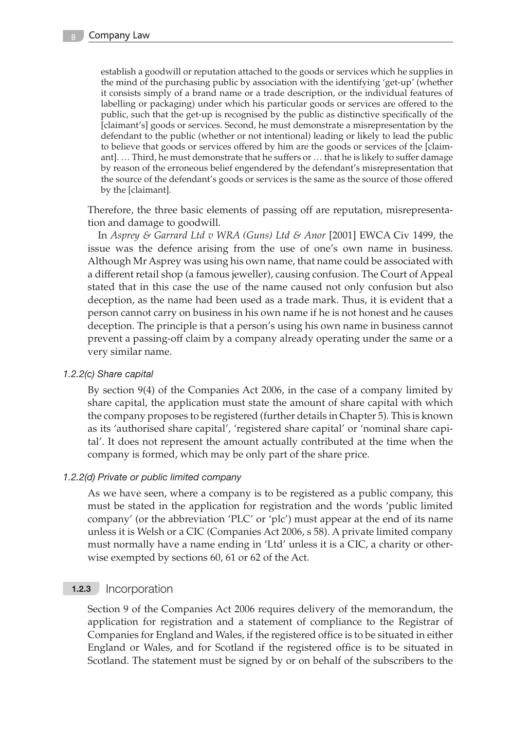establish a goodwill or reputation attached to the goods or services which he supplies in the mind of the purchasing public by association with the identifying 'get-up' (whether it consists simply of a brand name or a trade description, or the individual features of labelling or packaging) under which his particular goods or services are offered to the public, such that the get-up is recognised by the public as distinctive specifically of the [claimant's] goods or services. Second, he must demonstrate a misrepresentation by the defendant to the public (whether or not intentional) leading or likely to lead the public to believe that goods or services offered by him are the goods or services of the [claimant]. … Third, he must demonstrate that he suffers or … that he is likely to suffer damage by reason of the erroneous belief engendered by the defendant's misrepresentation that the source of the defendant's goods or services is the same as the source of those offered by the [claimant].

Therefore, the three basic elements of passing off are reputation, misrepresentation and damage to goodwill.

In *Asprey & Garrard Ltd v WRA (Guns) Ltd & Anor* [2001] EWCA Civ 1499, the issue was the defence arising from the use of one's own name in business. Although Mr Asprey was using his own name, that name could be associated with a different retail shop (a famous jeweller), causing confusion. The Court of Appeal stated that in this case the use of the name caused not only confusion but also deception, as the name had been used as a trade mark. Thus, it is evident that a person cannot carry on business in his own name if he is not honest and he causes deception. The principle is that a person's using his own name in business cannot prevent a passing-off claim by a company already operating under the same or a very similar name.

## *1.2.2(c) Share capital*

By section 9(4) of the Companies Act 2006, in the case of a company limited by share capital, the application must state the amount of share capital with which the company proposes to be registered (further details in Chapter 5). This is known as its 'authorised share capital', 'registered share capital' or 'nominal share capital'. It does not represent the amount actually contributed at the time when the company is formed, which may be only part of the share price.

### *1.2.2(d) Private or public limited company*

As we have seen, where a company is to be registered as a public company, this must be stated in the application for registration and the words 'public limited company' (or the abbreviation 'PLC' or 'plc') must appear at the end of its name unless it is Welsh or a CIC (Companies Act 2006, s 58). A private limited company must normally have a name ending in 'Ltd' unless it is a CIC, a charity or otherwise exempted by sections 60, 61 or 62 of the Act.

## 1.2.3 Incorporation

Section 9 of the Companies Act 2006 requires delivery of the memorandum, the application for registration and a statement of compliance to the Registrar of Companies for England and Wales, if the registered office is to be situated in either England or Wales, and for Scotland if the registered office is to be situated in Scotland. The statement must be signed by or on behalf of the subscribers to the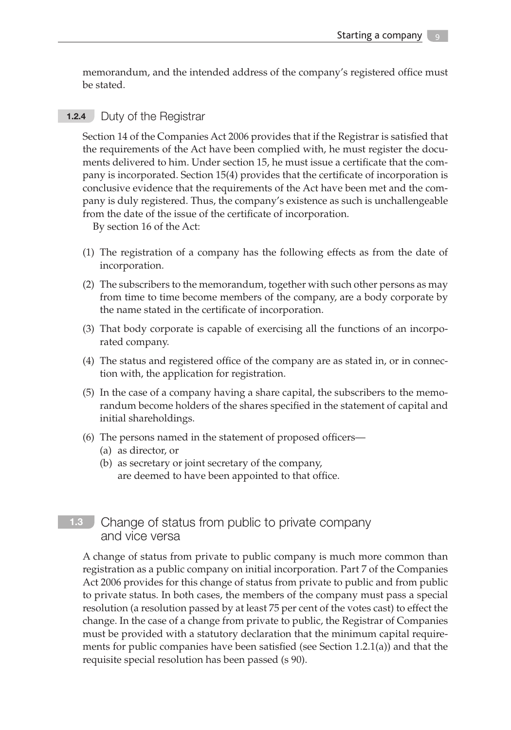memorandum, and the intended address of the company's registered office must be stated.

#### Duty of the Registrar 1.2.4

Section 14 of the Companies Act 2006 provides that if the Registrar is satisfied that the requirements of the Act have been complied with, he must register the documents delivered to him. Under section 15, he must issue a certificate that the company is incorporated. Section 15(4) provides that the certificate of incorporation is conclusive evidence that the requirements of the Act have been met and the company is duly registered. Thus, the company's existence as such is unchallengeable from the date of the issue of the certificate of incorporation.

By section 16 of the Act:

- (1) The registration of a company has the following effects as from the date of incorporation.
- (2) The subscribers to the memorandum, together with such other persons as may from time to time become members of the company, are a body corporate by the name stated in the certificate of incorporation.
- (3) That body corporate is capable of exercising all the functions of an incorporated company.
- (4) The status and registered office of the company are as stated in, or in connection with, the application for registration.
- (5) In the case of a company having a share capital, the subscribers to the memorandum become holders of the shares specified in the statement of capital and initial shareholdings.
- (6) The persons named in the statement of proposed officers—
	- (a) as director, or
	- (b) as secretary or joint secretary of the company, are deemed to have been appointed to that office.

### Change of status from public to private company and vice versa 1.3

A change of status from private to public company is much more common than registration as a public company on initial incorporation. Part 7 of the Companies Act 2006 provides for this change of status from private to public and from public to private status. In both cases, the members of the company must pass a special resolution (a resolution passed by at least 75 per cent of the votes cast) to effect the change. In the case of a change from private to public, the Registrar of Companies must be provided with a statutory declaration that the minimum capital requirements for public companies have been satisfied (see Section 1.2.1(a)) and that the requisite special resolution has been passed (s 90).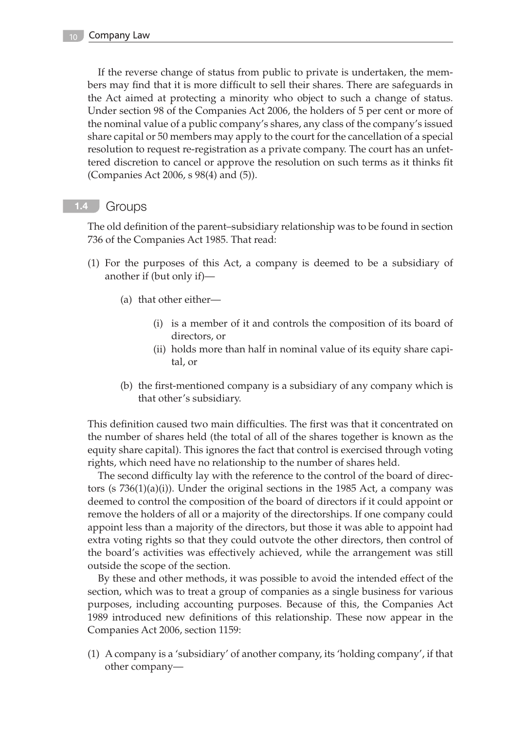If the reverse change of status from public to private is undertaken, the members may find that it is more difficult to sell their shares. There are safeguards in the Act aimed at protecting a minority who object to such a change of status. Under section 98 of the Companies Act 2006, the holders of 5 per cent or more of the nominal value of a public company's shares, any class of the company's issued share capital or 50 members may apply to the court for the cancellation of a special resolution to request re-registration as a private company. The court has an unfettered discretion to cancel or approve the resolution on such terms as it thinks fit (Companies Act 2006, s 98(4) and (5)).

#### **Groups** 1.4

The old definition of the parent–subsidiary relationship was to be found in section 736 of the Companies Act 1985. That read:

- (1) For the purposes of this Act, a company is deemed to be a subsidiary of another if (but only if)—
	- (a) that other either—
		- (i) is a member of it and controls the composition of its board of directors, or
		- (ii) holds more than half in nominal value of its equity share capital, or
	- (b) the first-mentioned company is a subsidiary of any company which is that other's subsidiary.

This definition caused two main difficulties. The first was that it concentrated on the number of shares held (the total of all of the shares together is known as the equity share capital). This ignores the fact that control is exercised through voting rights, which need have no relationship to the number of shares held.

The second difficulty lay with the reference to the control of the board of directors (s 736(1)(a)(i)). Under the original sections in the 1985 Act, a company was deemed to control the composition of the board of directors if it could appoint or remove the holders of all or a majority of the directorships. If one company could appoint less than a majority of the directors, but those it was able to appoint had extra voting rights so that they could outvote the other directors, then control of the board's activities was effectively achieved, while the arrangement was still outside the scope of the section.

By these and other methods, it was possible to avoid the intended effect of the section, which was to treat a group of companies as a single business for various purposes, including accounting purposes. Because of this, the Companies Act 1989 introduced new definitions of this relationship. These now appear in the Companies Act 2006, section 1159:

(1) A company is a 'subsidiary' of another company, its 'holding company', if that other company—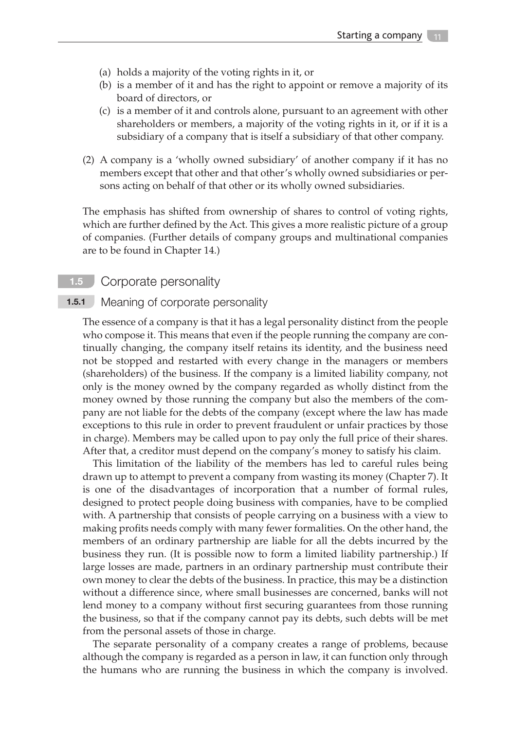- (a) holds a majority of the voting rights in it, or
- (b) is a member of it and has the right to appoint or remove a majority of its board of directors, or
- (c) is a member of it and controls alone, pursuant to an agreement with other shareholders or members, a majority of the voting rights in it, or if it is a subsidiary of a company that is itself a subsidiary of that other company.
- (2) A company is a 'wholly owned subsidiary' of another company if it has no members except that other and that other's wholly owned subsidiaries or persons acting on behalf of that other or its wholly owned subsidiaries.

The emphasis has shifted from ownership of shares to control of voting rights, which are further defined by the Act. This gives a more realistic picture of a group of companies. (Further details of company groups and multinational companies are to be found in Chapter 14.)

#### Corporate personality 1.5

#### Meaning of corporate personality 1.5.1

The essence of a company is that it has a legal personality distinct from the people who compose it. This means that even if the people running the company are continually changing, the company itself retains its identity, and the business need not be stopped and restarted with every change in the managers or members (shareholders) of the business. If the company is a limited liability company, not only is the money owned by the company regarded as wholly distinct from the money owned by those running the company but also the members of the company are not liable for the debts of the company (except where the law has made exceptions to this rule in order to prevent fraudulent or unfair practices by those in charge). Members may be called upon to pay only the full price of their shares. After that, a creditor must depend on the company's money to satisfy his claim.

This limitation of the liability of the members has led to careful rules being drawn up to attempt to prevent a company from wasting its money (Chapter 7). It is one of the disadvantages of incorporation that a number of formal rules, designed to protect people doing business with companies, have to be complied with. A partnership that consists of people carrying on a business with a view to making profits needs comply with many fewer formalities. On the other hand, the members of an ordinary partnership are liable for all the debts incurred by the business they run. (It is possible now to form a limited liability partnership.) If large losses are made, partners in an ordinary partnership must contribute their own money to clear the debts of the business. In practice, this may be a distinction without a difference since, where small businesses are concerned, banks will not lend money to a company without first securing guarantees from those running the business, so that if the company cannot pay its debts, such debts will be met from the personal assets of those in charge.

The separate personality of a company creates a range of problems, because although the company is regarded as a person in law, it can function only through the humans who are running the business in which the company is involved.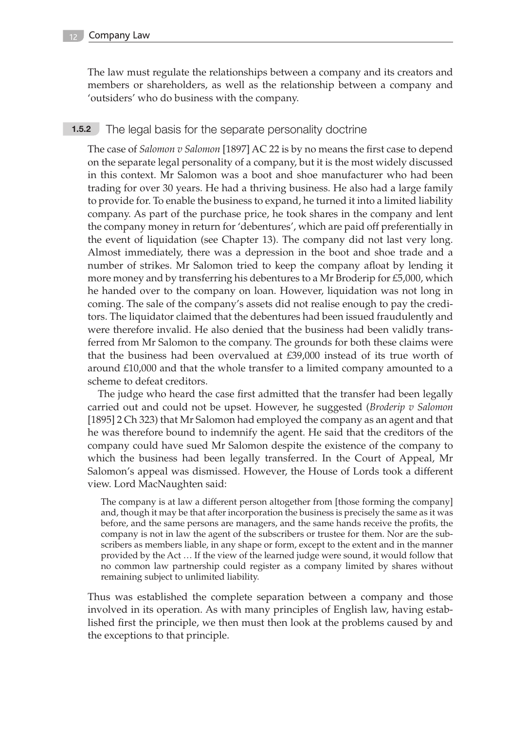The law must regulate the relationships between a company and its creators and members or shareholders, as well as the relationship between a company and 'outsiders' who do business with the company.

## 1.5.2 The legal basis for the separate personality doctrine

The case of *Salomon v Salomon* [1897] AC 22 is by no means the first case to depend on the separate legal personality of a company, but it is the most widely discussed in this context. Mr Salomon was a boot and shoe manufacturer who had been trading for over 30 years. He had a thriving business. He also had a large family to provide for. To enable the business to expand, he turned it into a limited liability company. As part of the purchase price, he took shares in the company and lent the company money in return for 'debentures', which are paid off preferentially in the event of liquidation (see Chapter 13). The company did not last very long. Almost immediately, there was a depression in the boot and shoe trade and a number of strikes. Mr Salomon tried to keep the company afloat by lending it more money and by transferring his debentures to a Mr Broderip for £5,000, which he handed over to the company on loan. However, liquidation was not long in coming. The sale of the company's assets did not realise enough to pay the creditors. The liquidator claimed that the debentures had been issued fraudulently and were therefore invalid. He also denied that the business had been validly transferred from Mr Salomon to the company. The grounds for both these claims were that the business had been overvalued at £39,000 instead of its true worth of around £10,000 and that the whole transfer to a limited company amounted to a scheme to defeat creditors.

The judge who heard the case first admitted that the transfer had been legally carried out and could not be upset. However, he suggested (*Broderip v Salomon* [1895] 2 Ch 323) that Mr Salomon had employed the company as an agent and that he was therefore bound to indemnify the agent. He said that the creditors of the company could have sued Mr Salomon despite the existence of the company to which the business had been legally transferred. In the Court of Appeal, Mr Salomon's appeal was dismissed. However, the House of Lords took a different view. Lord MacNaughten said:

The company is at law a different person altogether from [those forming the company] and, though it may be that after incorporation the business is precisely the same as it was before, and the same persons are managers, and the same hands receive the profits, the company is not in law the agent of the subscribers or trustee for them. Nor are the subscribers as members liable, in any shape or form, except to the extent and in the manner provided by the Act … If the view of the learned judge were sound, it would follow that no common law partnership could register as a company limited by shares without remaining subject to unlimited liability.

Thus was established the complete separation between a company and those involved in its operation. As with many principles of English law, having established first the principle, we then must then look at the problems caused by and the exceptions to that principle.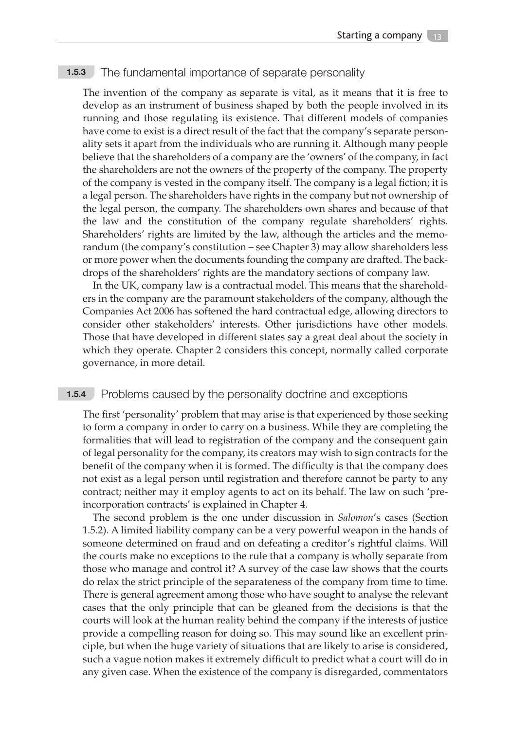## 1.5.3 The fundamental importance of separate personality

The invention of the company as separate is vital, as it means that it is free to develop as an instrument of business shaped by both the people involved in its running and those regulating its existence. That different models of companies have come to exist is a direct result of the fact that the company's separate personality sets it apart from the individuals who are running it. Although many people believe that the shareholders of a company are the 'owners' of the company, in fact the shareholders are not the owners of the property of the company. The property of the company is vested in the company itself. The company is a legal fiction; it is a legal person. The shareholders have rights in the company but not ownership of the legal person, the company. The shareholders own shares and because of that the law and the constitution of the company regulate shareholders' rights. Shareholders' rights are limited by the law, although the articles and the memorandum (the company's constitution – see Chapter 3) may allow shareholders less or more power when the documents founding the company are drafted. The backdrops of the shareholders' rights are the mandatory sections of company law.

In the UK, company law is a contractual model. This means that the shareholders in the company are the paramount stakeholders of the company, although the Companies Act 2006 has softened the hard contractual edge, allowing directors to consider other stakeholders' interests. Other jurisdictions have other models. Those that have developed in different states say a great deal about the society in which they operate. Chapter 2 considers this concept, normally called corporate governance, in more detail.

#### Problems caused by the personality doctrine and exceptions 1.5.4

The first 'personality' problem that may arise is that experienced by those seeking to form a company in order to carry on a business. While they are completing the formalities that will lead to registration of the company and the consequent gain of legal personality for the company, its creators may wish to sign contracts for the benefit of the company when it is formed. The difficulty is that the company does not exist as a legal person until registration and therefore cannot be party to any contract; neither may it employ agents to act on its behalf. The law on such 'preincorporation contracts' is explained in Chapter 4.

The second problem is the one under discussion in *Salomon*'s cases (Section 1.5.2). A limited liability company can be a very powerful weapon in the hands of someone determined on fraud and on defeating a creditor's rightful claims. Will the courts make no exceptions to the rule that a company is wholly separate from those who manage and control it? A survey of the case law shows that the courts do relax the strict principle of the separateness of the company from time to time. There is general agreement among those who have sought to analyse the relevant cases that the only principle that can be gleaned from the decisions is that the courts will look at the human reality behind the company if the interests of justice provide a compelling reason for doing so. This may sound like an excellent principle, but when the huge variety of situations that are likely to arise is considered, such a vague notion makes it extremely difficult to predict what a court will do in any given case. When the existence of the company is disregarded, commentators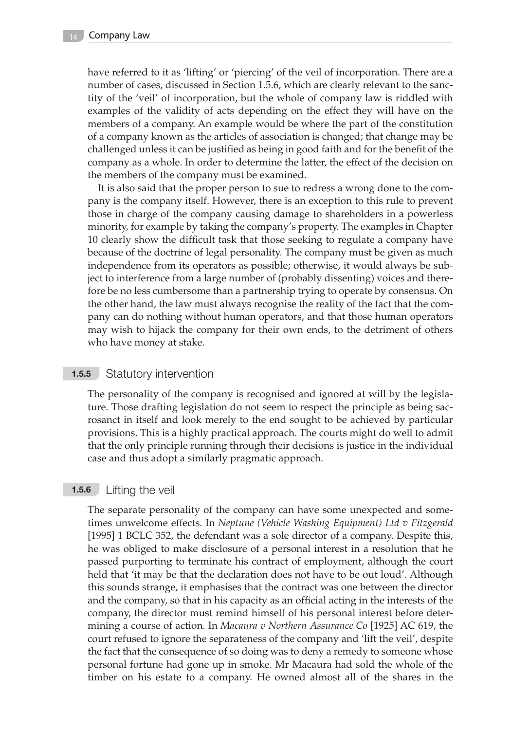have referred to it as 'lifting' or 'piercing' of the veil of incorporation. There are a number of cases, discussed in Section 1.5.6, which are clearly relevant to the sanctity of the 'veil' of incorporation, but the whole of company law is riddled with examples of the validity of acts depending on the effect they will have on the members of a company. An example would be where the part of the constitution of a company known as the articles of association is changed; that change may be challenged unless it can be justified as being in good faith and for the benefit of the company as a whole. In order to determine the latter, the effect of the decision on the members of the company must be examined.

It is also said that the proper person to sue to redress a wrong done to the company is the company itself. However, there is an exception to this rule to prevent those in charge of the company causing damage to shareholders in a powerless minority, for example by taking the company's property. The examples in Chapter 10 clearly show the difficult task that those seeking to regulate a company have because of the doctrine of legal personality. The company must be given as much independence from its operators as possible; otherwise, it would always be subject to interference from a large number of (probably dissenting) voices and therefore be no less cumbersome than a partnership trying to operate by consensus. On the other hand, the law must always recognise the reality of the fact that the company can do nothing without human operators, and that those human operators may wish to hijack the company for their own ends, to the detriment of others who have money at stake.

#### Statutory intervention 1.5.5

The personality of the company is recognised and ignored at will by the legislature. Those drafting legislation do not seem to respect the principle as being sacrosanct in itself and look merely to the end sought to be achieved by particular provisions. This is a highly practical approach. The courts might do well to admit that the only principle running through their decisions is justice in the individual case and thus adopt a similarly pragmatic approach.

#### Lifting the veil 1.5.6

The separate personality of the company can have some unexpected and sometimes unwelcome effects. In *Neptune (Vehicle Washing Equipment) Ltd v Fitzgerald* [1995] 1 BCLC 352, the defendant was a sole director of a company. Despite this, he was obliged to make disclosure of a personal interest in a resolution that he passed purporting to terminate his contract of employment, although the court held that 'it may be that the declaration does not have to be out loud'. Although this sounds strange, it emphasises that the contract was one between the director and the company, so that in his capacity as an official acting in the interests of the company, the director must remind himself of his personal interest before determining a course of action. In *Macaura v Northern Assurance Co* [1925] AC 619, the court refused to ignore the separateness of the company and 'lift the veil', despite the fact that the consequence of so doing was to deny a remedy to someone whose personal fortune had gone up in smoke. Mr Macaura had sold the whole of the timber on his estate to a company. He owned almost all of the shares in the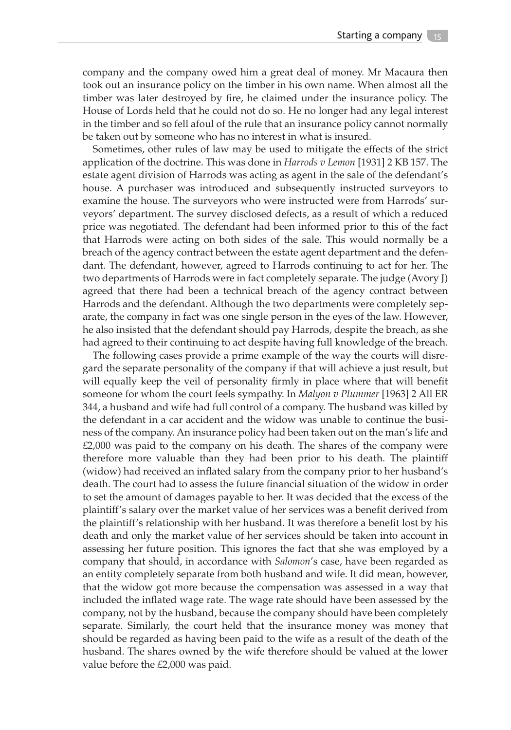company and the company owed him a great deal of money. Mr Macaura then took out an insurance policy on the timber in his own name. When almost all the timber was later destroyed by fire, he claimed under the insurance policy. The House of Lords held that he could not do so. He no longer had any legal interest in the timber and so fell afoul of the rule that an insurance policy cannot normally be taken out by someone who has no interest in what is insured.

Sometimes, other rules of law may be used to mitigate the effects of the strict application of the doctrine. This was done in *Harrods v Lemon* [1931] 2 KB 157. The estate agent division of Harrods was acting as agent in the sale of the defendant's house. A purchaser was introduced and subsequently instructed surveyors to examine the house. The surveyors who were instructed were from Harrods' surveyors' department. The survey disclosed defects, as a result of which a reduced price was negotiated. The defendant had been informed prior to this of the fact that Harrods were acting on both sides of the sale. This would normally be a breach of the agency contract between the estate agent department and the defendant. The defendant, however, agreed to Harrods continuing to act for her. The two departments of Harrods were in fact completely separate. The judge (Avory J) agreed that there had been a technical breach of the agency contract between Harrods and the defendant. Although the two departments were completely separate, the company in fact was one single person in the eyes of the law. However, he also insisted that the defendant should pay Harrods, despite the breach, as she had agreed to their continuing to act despite having full knowledge of the breach.

The following cases provide a prime example of the way the courts will disregard the separate personality of the company if that will achieve a just result, but will equally keep the veil of personality firmly in place where that will benefit someone for whom the court feels sympathy. In *Malyon v Plummer* [1963] 2 All ER 344, a husband and wife had full control of a company. The husband was killed by the defendant in a car accident and the widow was unable to continue the business of the company. An insurance policy had been taken out on the man's life and  $£2,000$  was paid to the company on his death. The shares of the company were therefore more valuable than they had been prior to his death. The plaintiff (widow) had received an inflated salary from the company prior to her husband's death. The court had to assess the future financial situation of the widow in order to set the amount of damages payable to her. It was decided that the excess of the plaintiff's salary over the market value of her services was a benefit derived from the plaintiff's relationship with her husband. It was therefore a benefit lost by his death and only the market value of her services should be taken into account in assessing her future position. This ignores the fact that she was employed by a company that should, in accordance with *Salomon*'s case, have been regarded as an entity completely separate from both husband and wife. It did mean, however, that the widow got more because the compensation was assessed in a way that included the inflated wage rate. The wage rate should have been assessed by the company, not by the husband, because the company should have been completely separate. Similarly, the court held that the insurance money was money that should be regarded as having been paid to the wife as a result of the death of the husband. The shares owned by the wife therefore should be valued at the lower value before the £2,000 was paid.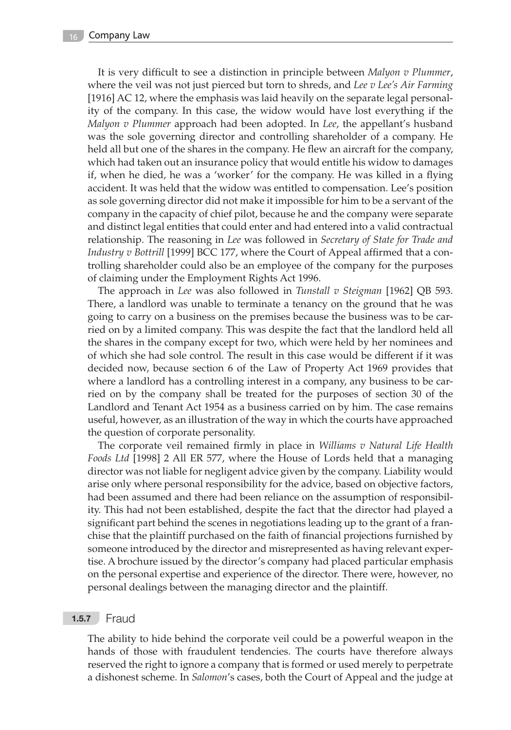It is very difficult to see a distinction in principle between *Malyon v Plummer*, where the veil was not just pierced but torn to shreds, and *Lee v Lee's Air Farming* [1916] AC 12, where the emphasis was laid heavily on the separate legal personality of the company. In this case, the widow would have lost everything if the *Malyon v Plummer* approach had been adopted. In *Lee*, the appellant's husband was the sole governing director and controlling shareholder of a company. He held all but one of the shares in the company. He flew an aircraft for the company, which had taken out an insurance policy that would entitle his widow to damages if, when he died, he was a 'worker' for the company. He was killed in a flying accident. It was held that the widow was entitled to compensation. Lee's position as sole governing director did not make it impossible for him to be a servant of the company in the capacity of chief pilot, because he and the company were separate and distinct legal entities that could enter and had entered into a valid contractual relationship. The reasoning in *Lee* was followed in *Secretary of State for Trade and Industry v Bottrill* [1999] BCC 177, where the Court of Appeal affirmed that a controlling shareholder could also be an employee of the company for the purposes of claiming under the Employment Rights Act 1996.

The approach in *Lee* was also followed in *Tunstall v Steigman* [1962] QB 593. There, a landlord was unable to terminate a tenancy on the ground that he was going to carry on a business on the premises because the business was to be carried on by a limited company. This was despite the fact that the landlord held all the shares in the company except for two, which were held by her nominees and of which she had sole control. The result in this case would be different if it was decided now, because section 6 of the Law of Property Act 1969 provides that where a landlord has a controlling interest in a company, any business to be carried on by the company shall be treated for the purposes of section 30 of the Landlord and Tenant Act 1954 as a business carried on by him. The case remains useful, however, as an illustration of the way in which the courts have approached the question of corporate personality.

The corporate veil remained firmly in place in *Williams v Natural Life Health Foods Ltd* [1998] 2 All ER 577, where the House of Lords held that a managing director was not liable for negligent advice given by the company. Liability would arise only where personal responsibility for the advice, based on objective factors, had been assumed and there had been reliance on the assumption of responsibility. This had not been established, despite the fact that the director had played a significant part behind the scenes in negotiations leading up to the grant of a franchise that the plaintiff purchased on the faith of financial projections furnished by someone introduced by the director and misrepresented as having relevant expertise. A brochure issued by the director's company had placed particular emphasis on the personal expertise and experience of the director. There were, however, no personal dealings between the managing director and the plaintiff.

#### Fraud 1.5.7

The ability to hide behind the corporate veil could be a powerful weapon in the hands of those with fraudulent tendencies. The courts have therefore always reserved the right to ignore a company that is formed or used merely to perpetrate a dishonest scheme. In *Salomon*'s cases, both the Court of Appeal and the judge at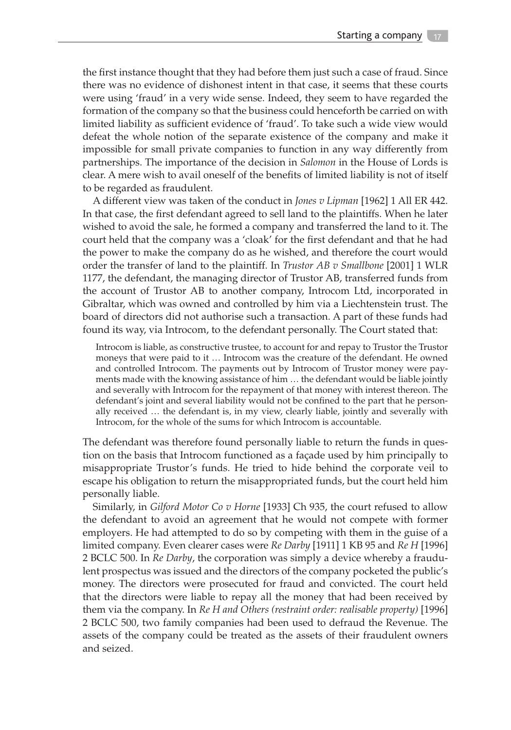the first instance thought that they had before them just such a case of fraud. Since there was no evidence of dishonest intent in that case, it seems that these courts were using 'fraud' in a very wide sense. Indeed, they seem to have regarded the formation of the company so that the business could henceforth be carried on with limited liability as sufficient evidence of 'fraud'. To take such a wide view would defeat the whole notion of the separate existence of the company and make it impossible for small private companies to function in any way differently from partnerships. The importance of the decision in *Salomon* in the House of Lords is clear. A mere wish to avail oneself of the benefits of limited liability is not of itself to be regarded as fraudulent.

A different view was taken of the conduct in *Jones v Lipman* [1962] 1 All ER 442. In that case, the first defendant agreed to sell land to the plaintiffs. When he later wished to avoid the sale, he formed a company and transferred the land to it. The court held that the company was a 'cloak' for the first defendant and that he had the power to make the company do as he wished, and therefore the court would order the transfer of land to the plaintiff. In *Trustor AB v Smallbone* [2001] 1 WLR 1177, the defendant, the managing director of Trustor AB, transferred funds from the account of Trustor AB to another company, Introcom Ltd, incorporated in Gibraltar, which was owned and controlled by him via a Liechtenstein trust. The board of directors did not authorise such a transaction. A part of these funds had found its way, via Introcom, to the defendant personally. The Court stated that:

Introcom is liable, as constructive trustee, to account for and repay to Trustor the Trustor moneys that were paid to it … Introcom was the creature of the defendant. He owned and controlled Introcom. The payments out by Introcom of Trustor money were payments made with the knowing assistance of him … the defendant would be liable jointly and severally with Introcom for the repayment of that money with interest thereon. The defendant's joint and several liability would not be confined to the part that he personally received … the defendant is, in my view, clearly liable, jointly and severally with Introcom, for the whole of the sums for which Introcom is accountable.

The defendant was therefore found personally liable to return the funds in question on the basis that Introcom functioned as a façade used by him principally to misappropriate Trustor's funds. He tried to hide behind the corporate veil to escape his obligation to return the misappropriated funds, but the court held him personally liable.

Similarly, in *Gilford Motor Co v Horne* [1933] Ch 935, the court refused to allow the defendant to avoid an agreement that he would not compete with former employers. He had attempted to do so by competing with them in the guise of a limited company. Even clearer cases were *Re Darby* [1911] 1 KB 95 and *Re H* [1996] 2 BCLC 500. In *Re Darby*, the corporation was simply a device whereby a fraudulent prospectus was issued and the directors of the company pocketed the public's money. The directors were prosecuted for fraud and convicted. The court held that the directors were liable to repay all the money that had been received by them via the company. In *Re H and Others (restraint order: realisable property)* [1996] 2 BCLC 500, two family companies had been used to defraud the Revenue. The assets of the company could be treated as the assets of their fraudulent owners and seized.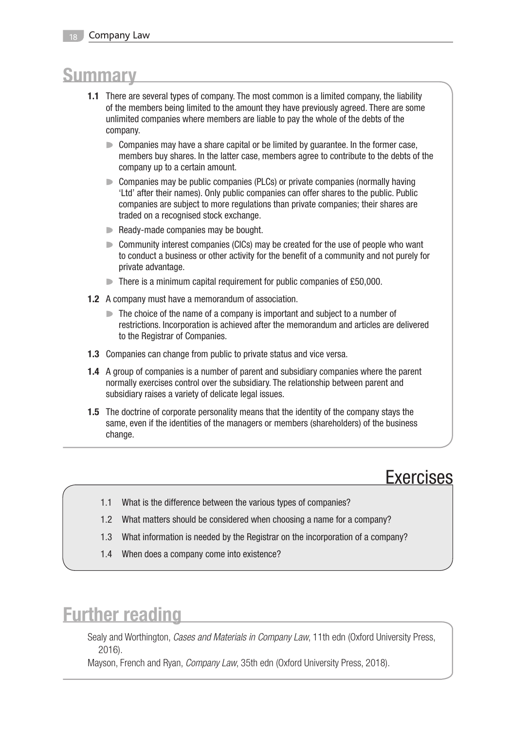## **Summary**

- 1.1 There are several types of company. The most common is a limited company, the liability of the members being limited to the amount they have previously agreed. There are some unlimited companies where members are liable to pay the whole of the debts of the company.
	- Companies may have a share capital or be limited by quarantee. In the former case, members buy shares. In the latter case, members agree to contribute to the debts of the company up to a certain amount.
	- Companies may be public companies (PLCs) or private companies (normally having 'Ltd' after their names). Only public companies can offer shares to the public. Public companies are subject to more regulations than private companies; their shares are traded on a recognised stock exchange.
	- Ready-made companies may be bought.
	- Community interest companies (CICs) may be created for the use of people who want to conduct a business or other activity for the benefit of a community and not purely for private advantage.
	- There is a minimum capital requirement for public companies of £50,000.
- 1.2 A company must have a memorandum of association.
	- ◗ The choice of the name of a company is important and subject to a number of restrictions. Incorporation is achieved after the memorandum and articles are delivered to the Registrar of Companies.
- 1.3 Companies can change from public to private status and vice versa.
- 1.4 A group of companies is a number of parent and subsidiary companies where the parent normally exercises control over the subsidiary. The relationship between parent and subsidiary raises a variety of delicate legal issues.
- 1.5 The doctrine of corporate personality means that the identity of the company stays the same, even if the identities of the managers or members (shareholders) of the business change.

## Exercises

- 1.1 What is the difference between the various types of companies?
- 1.2 What matters should be considered when choosing a name for a company?
- 1.3 What information is needed by the Registrar on the incorporation of a company?
- 1.4 When does a company come into existence?

## Further reading

Sealy and Worthington, *Cases and Materials in Company Law*, 11th edn (Oxford University Press, 2016).

Mayson, French and Ryan, *Company Law*, 35th edn (Oxford University Press, 2018).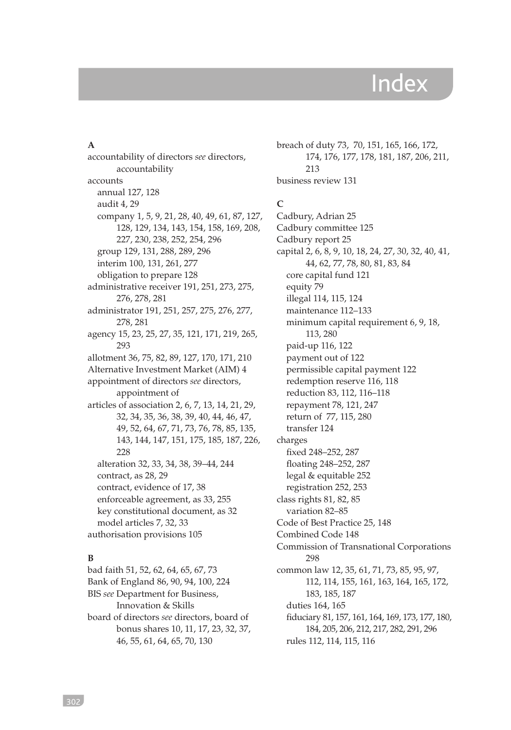# Index

## **A**

accountability of directors *see* directors, accountability accounts annual 127, 128 audit 4, 29 company 1, 5, 9, 21, 28, 40, 49, 61, 87, 127, 128, 129, 134, 143, 154, 158, 169, 208, 227, 230, 238, 252, 254, 296 group 129, 131, 288, 289, 296 interim 100, 131, 261, 277 obligation to prepare 128 administrative receiver 191, 251, 273, 275, 276, 278, 281 administrator 191, 251, 257, 275, 276, 277, 278, 281 agency 15, 23, 25, 27, 35, 121, 171, 219, 265, 293 allotment 36, 75, 82, 89, 127, 170, 171, 210 Alternative Investment Market (AIM) 4 appointment of directors *see* directors, appointment of articles of association 2, 6, 7, 13, 14, 21, 29, 32, 34, 35, 36, 38, 39, 40, 44, 46, 47, 49, 52, 64, 67, 71, 73, 76, 78, 85, 135, 143, 144, 147, 151, 175, 185, 187, 226, 228 alteration 32, 33, 34, 38, 39–44, 244 contract, as 28, 29 contract, evidence of 17, 38 enforceable agreement, as 33, 255 key constitutional document, as 32 model articles 7, 32, 33 authorisation provisions 105

## **B**

bad faith 51, 52, 62, 64, 65, 67, 73 Bank of England 86, 90, 94, 100, 224 BIS *see* Department for Business, Innovation & Skills board of directors *see* directors, board of bonus shares 10, 11, 17, 23, 32, 37, 46, 55, 61, 64, 65, 70, 130

breach of duty 73, 70, 151, 165, 166, 172, 174, 176, 177, 178, 181, 187, 206, 211, 213 business review 131

## **C**

Cadbury, Adrian 25 Cadbury committee 125 Cadbury report 25 capital 2, 6, 8, 9, 10, 18, 24, 27, 30, 32, 40, 41, 44, 62, 77, 78, 80, 81, 83, 84 core capital fund 121 equity 79 illegal 114, 115, 124 maintenance 112–133 minimum capital requirement 6, 9, 18, 113, 280 paid-up 116, 122 payment out of 122 permissible capital payment 122 redemption reserve 116, 118 reduction 83, 112, 116–118 repayment 78, 121, 247 return of 77, 115, 280 transfer 124 charges fixed 248–252, 287 floating 248–252, 287 legal & equitable 252 registration 252, 253 class rights 81, 82, 85 variation 82–85 Code of Best Practice 25, 148 Combined Code 148 Commission of Transnational Corporations 298 common law 12, 35, 61, 71, 73, 85, 95, 97, 112, 114, 155, 161, 163, 164, 165, 172, 183, 185, 187 duties 164, 165 fiduciary 81, 157, 161, 164, 169, 173, 177, 180, 184, 205, 206, 212, 217, 282, 291, 296 rules 112, 114, 115, 116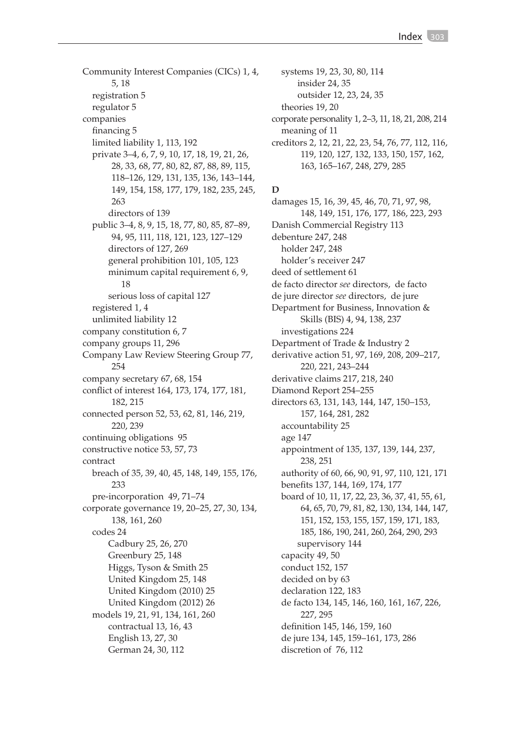Community Interest Companies (CICs) 1, 4, 5, 18 registration 5 regulator 5 companies financing 5 limited liability 1, 113, 192 private 3–4, 6, 7, 9, 10, 17, 18, 19, 21, 26, 28, 33, 68, 77, 80, 82, 87, 88, 89, 115, 118–126, 129, 131, 135, 136, 143–144, 149, 154, 158, 177, 179, 182, 235, 245, 263 directors of 139 public 3–4, 8, 9, 15, 18, 77, 80, 85, 87–89, 94, 95, 111, 118, 121, 123, 127–129 directors of 127, 269 general prohibition 101, 105, 123 minimum capital requirement 6, 9, 18 serious loss of capital 127 registered 1, 4 unlimited liability 12 company constitution 6, 7 company groups 11, 296 Company Law Review Steering Group 77, 254 company secretary 67, 68, 154 conflict of interest 164, 173, 174, 177, 181, 182, 215 connected person 52, 53, 62, 81, 146, 219, 220, 239 continuing obligations 95 constructive notice 53, 57, 73 contract breach of 35, 39, 40, 45, 148, 149, 155, 176, 233 pre-incorporation 49, 71–74 corporate governance 19, 20–25, 27, 30, 134, 138, 161, 260 codes 24 Cadbury 25, 26, 270 Greenbury 25, 148 Higgs, Tyson & Smith 25 United Kingdom 25, 148 United Kingdom (2010) 25 United Kingdom (2012) 26 models 19, 21, 91, 134, 161, 260 contractual 13, 16, 43 English 13, 27, 30 German 24, 30, 112

systems 19, 23, 30, 80, 114 insider 24, 35 outsider 12, 23, 24, 35 theories 19, 20 corporate personality 1, 2–3, 11, 18, 21, 208, 214 meaning of 11 creditors 2, 12, 21, 22, 23, 54, 76, 77, 112, 116, 119, 120, 127, 132, 133, 150, 157, 162, 163, 165–167, 248, 279, 285 **D** damages 15, 16, 39, 45, 46, 70, 71, 97, 98, 148, 149, 151, 176, 177, 186, 223, 293 Danish Commercial Registry 113 debenture 247, 248 holder 247, 248 holder's receiver 247 deed of settlement 61 de facto director *see* directors, de facto de jure director *see* directors, de jure Department for Business, Innovation & Skills (BIS) 4, 94, 138, 237 investigations 224 Department of Trade & Industry 2 derivative action 51, 97, 169, 208, 209–217, 220, 221, 243–244 derivative claims 217, 218, 240 Diamond Report 254–255 directors 63, 131, 143, 144, 147, 150–153, 157, 164, 281, 282

accountability 25 age 147 appointment of 135, 137, 139, 144, 237, 238, 251

- authority of 60, 66, 90, 91, 97, 110, 121, 171 benefits 137, 144, 169, 174, 177 board of 10, 11, 17, 22, 23, 36, 37, 41, 55, 61,
- 64, 65, 70, 79, 81, 82, 130, 134, 144, 147, 151, 152, 153, 155, 157, 159, 171, 183, 185, 186, 190, 241, 260, 264, 290, 293 supervisory 144 capacity 49, 50 conduct 152, 157 decided on by 63 declaration 122, 183 de facto 134, 145, 146, 160, 161, 167, 226, 227, 295 definition 145, 146, 159, 160
- de jure 134, 145, 159–161, 173, 286
- discretion of 76, 112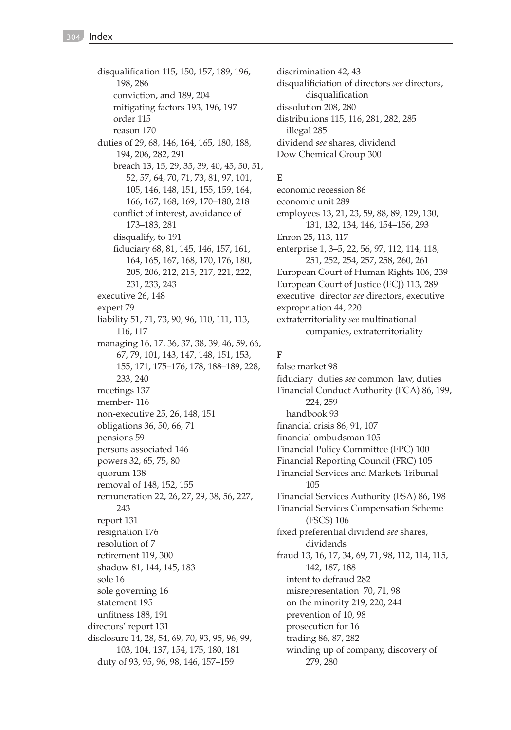disqualification 115, 150, 157, 189, 196, 198, 286 conviction, and 189, 204 mitigating factors 193, 196, 197 order 115 reason 170 duties of 29, 68, 146, 164, 165, 180, 188, 194, 206, 282, 291 breach 13, 15, 29, 35, 39, 40, 45, 50, 51, 52, 57, 64, 70, 71, 73, 81, 97, 101, 105, 146, 148, 151, 155, 159, 164, 166, 167, 168, 169, 170–180, 218 conflict of interest, avoidance of 173–183, 281 disqualify, to 191 fiduciary 68, 81, 145, 146, 157, 161, 164, 165, 167, 168, 170, 176, 180, 205, 206, 212, 215, 217, 221, 222, 231, 233, 243 executive 26, 148 expert 79 liability 51, 71, 73, 90, 96, 110, 111, 113, 116, 117 managing 16, 17, 36, 37, 38, 39, 46, 59, 66, 67, 79, 101, 143, 147, 148, 151, 153, 155, 171, 175–176, 178, 188–189, 228, 233, 240 meetings 137 member- 116 non-executive 25, 26, 148, 151 obligations 36, 50, 66, 71 pensions 59 persons associated 146 powers 32, 65, 75, 80 quorum 138 removal of 148, 152, 155 remuneration 22, 26, 27, 29, 38, 56, 227, 243 report 131 resignation 176 resolution of 7 retirement 119, 300 shadow 81, 144, 145, 183 sole 16 sole governing 16 statement 195 unfitness 188, 191 directors' report 131 disclosure 14, 28, 54, 69, 70, 93, 95, 96, 99, 103, 104, 137, 154, 175, 180, 181 duty of 93, 95, 96, 98, 146, 157–159

discrimination 42, 43 disqualificiation of directors *see* directors, disqualification dissolution 208, 280 distributions 115, 116, 281, 282, 285 illegal 285 dividend *see* shares, dividend Dow Chemical Group 300

## **E**

economic recession 86 economic unit 289 employees 13, 21, 23, 59, 88, 89, 129, 130, 131, 132, 134, 146, 154–156, 293 Enron 25, 113, 117 enterprise 1, 3–5, 22, 56, 97, 112, 114, 118, 251, 252, 254, 257, 258, 260, 261 European Court of Human Rights 106, 239 European Court of Justice (ECJ) 113, 289 executive director *see* directors, executive expropriation 44, 220 extraterritoriality *see* multinational companies, extraterritoriality

## **F**

false market 98 fiduciary duties *see* common law, duties Financial Conduct Authority (FCA) 86, 199, 224, 259 handbook 93 financial crisis 86, 91, 107 financial ombudsman 105 Financial Policy Committee (FPC) 100 Financial Reporting Council (FRC) 105 Financial Services and Markets Tribunal 105 Financial Services Authority (FSA) 86, 198 Financial Services Compensation Scheme (FSCS) 106 fixed preferential dividend *see* shares, dividends fraud 13, 16, 17, 34, 69, 71, 98, 112, 114, 115, 142, 187, 188 intent to defraud 282 misrepresentation 70, 71, 98 on the minority 219, 220, 244 prevention of 10, 98 prosecution for 16 trading 86, 87, 282 winding up of company, discovery of 279, 280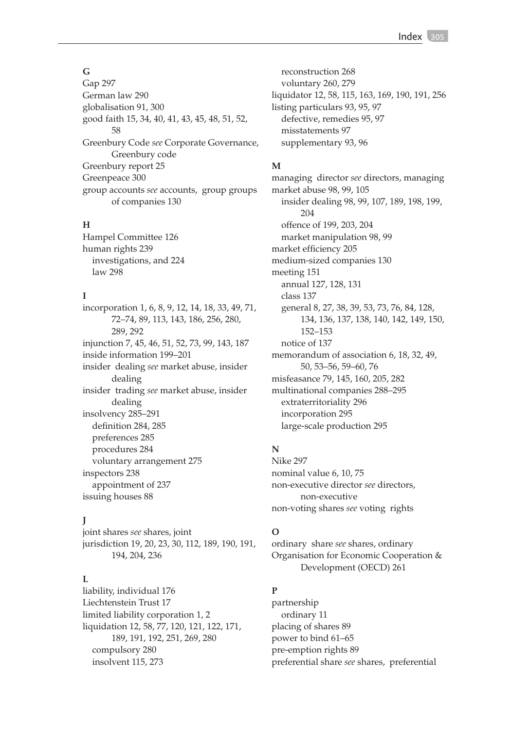## **G**

Gap 297 German law 290 globalisation 91, 300 good faith 15, 34, 40, 41, 43, 45, 48, 51, 52, 58 Greenbury Code *see* Corporate Governance, Greenbury code Greenbury report 25 Greenpeace 300 group accounts *see* accounts, group groups of companies 130

## **H**

Hampel Committee 126 human rights 239 investigations, and 224 law 298

## **I**

incorporation 1, 6, 8, 9, 12, 14, 18, 33, 49, 71, 72–74, 89, 113, 143, 186, 256, 280, 289, 292 injunction 7, 45, 46, 51, 52, 73, 99, 143, 187 inside information 199–201 insider dealing *see* market abuse, insider dealing insider trading *see* market abuse, insider dealing insolvency 285–291 definition 284, 285 preferences 285 procedures 284 voluntary arrangement 275 inspectors 238 appointment of 237 issuing houses 88

## **J**

joint shares *see* shares, joint jurisdiction 19, 20, 23, 30, 112, 189, 190, 191, 194, 204, 236

## **L**

liability, individual 176 Liechtenstein Trust 17 limited liability corporation 1, 2 liquidation 12, 58, 77, 120, 121, 122, 171, 189, 191, 192, 251, 269, 280 compulsory 280 insolvent 115, 273

reconstruction 268 voluntary 260, 279 liquidator 12, 58, 115, 163, 169, 190, 191, 256 listing particulars 93, 95, 97 defective, remedies 95, 97 misstatements 97 supplementary 93, 96

## **M**

managing director *see* directors, managing market abuse 98, 99, 105 insider dealing 98, 99, 107, 189, 198, 199, 204 offence of 199, 203, 204 market manipulation 98, 99 market efficiency 205 medium-sized companies 130 meeting 151 annual 127, 128, 131 class 137 general 8, 27, 38, 39, 53, 73, 76, 84, 128, 134, 136, 137, 138, 140, 142, 149, 150, 152–153 notice of 137 memorandum of association 6, 18, 32, 49, 50, 53–56, 59–60, 76 misfeasance 79, 145, 160, 205, 282 multinational companies 288–295 extraterritoriality 296 incorporation 295 large-scale production 295

## **N**

Nike 297 nominal value 6, 10, 75 non-executive director *see* directors, non-executive non-voting shares *see* voting rights

## **O**

ordinary share *see* shares, ordinary Organisation for Economic Cooperation & Development (OECD) 261

## **P**

partnership ordinary 11 placing of shares 89 power to bind 61–65 pre-emption rights 89 preferential share *see* shares, preferential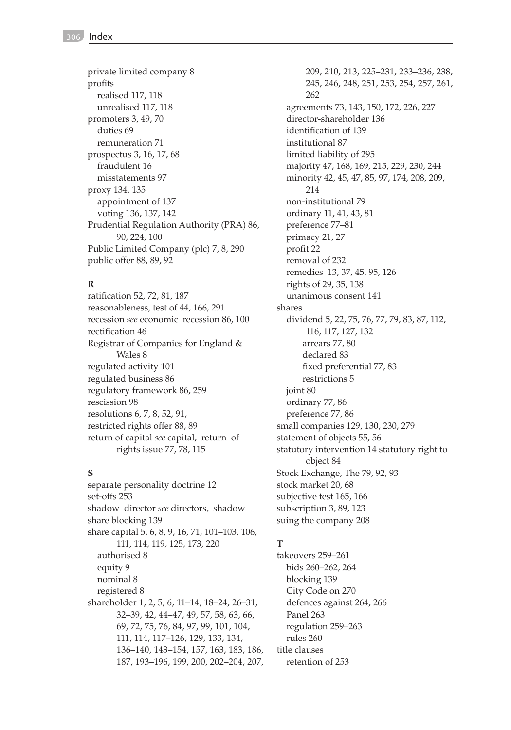private limited company 8 profits realised 117, 118 unrealised 117, 118 promoters 3, 49, 70 duties 69 remuneration 71 prospectus 3, 16, 17, 68 fraudulent 16 misstatements 97 proxy 134, 135 appointment of 137 voting 136, 137, 142 Prudential Regulation Authority (PRA) 86, 90, 224, 100 Public Limited Company (plc) 7, 8, 290 public offer 88, 89, 92

## **R**

ratification 52, 72, 81, 187 reasonableness, test of 44, 166, 291 recession *see* economic recession 86, 100 rectification 46 Registrar of Companies for England & Wales 8 regulated activity 101 regulated business 86 regulatory framework 86, 259 rescission 98 resolutions 6, 7, 8, 52, 91, restricted rights offer 88, 89 return of capital *see* capital, return of rights issue 77, 78, 115

## **S**

separate personality doctrine 12 set-offs 253 shadow director *see* directors, shadow share blocking 139 share capital 5, 6, 8, 9, 16, 71, 101–103, 106, 111, 114, 119, 125, 173, 220 authorised 8 equity 9 nominal 8 registered 8 shareholder 1, 2, 5, 6, 11–14, 18–24, 26–31, 32–39, 42, 44–47, 49, 57, 58, 63, 66, 69, 72, 75, 76, 84, 97, 99, 101, 104, 111, 114, 117–126, 129, 133, 134, 136–140, 143–154, 157, 163, 183, 186, 187, 193–196, 199, 200, 202–204, 207,

209, 210, 213, 225–231, 233–236, 238, 245, 246, 248, 251, 253, 254, 257, 261, 262 agreements 73, 143, 150, 172, 226, 227 director-shareholder 136 identification of 139 institutional 87 limited liability of 295 majority 47, 168, 169, 215, 229, 230, 244 minority 42, 45, 47, 85, 97, 174, 208, 209, 214 non-institutional 79 ordinary 11, 41, 43, 81 preference 77–81 primacy 21, 27 profit 22 removal of 232 remedies 13, 37, 45, 95, 126 rights of 29, 35, 138 unanimous consent 141 shares dividend 5, 22, 75, 76, 77, 79, 83, 87, 112, 116, 117, 127, 132 arrears 77, 80 declared 83 fixed preferential 77, 83 restrictions 5 joint 80 ordinary 77, 86 preference 77, 86 small companies 129, 130, 230, 279 statement of objects 55, 56 statutory intervention 14 statutory right to object 84 Stock Exchange, The 79, 92, 93 stock market 20, 68 subjective test 165, 166 subscription 3, 89, 123 suing the company 208

## **T**

takeovers 259–261 bids 260–262, 264 blocking 139 City Code on 270 defences against 264, 266 Panel 263 regulation 259–263 rules 260 title clauses retention of 253